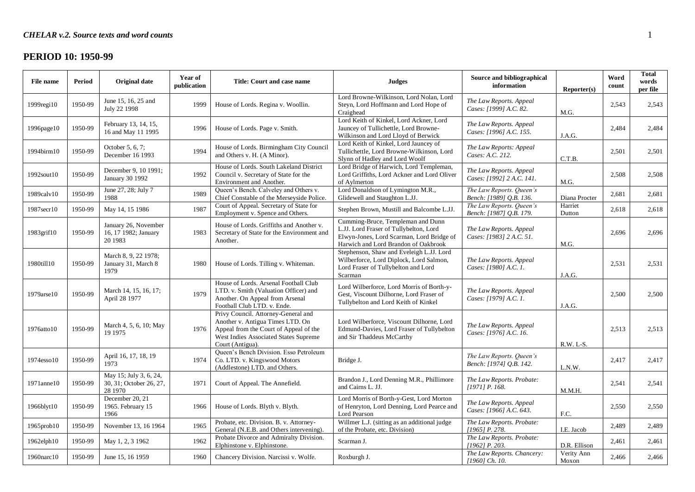# **PERIOD 10: 1950-99**

| File name        | Period  | <b>Original date</b>                                         | Year of<br>publication | Title: Court and case name                                                                                                                                                     | <b>Judges</b>                                                                                                                                                    | Source and bibliographical<br>information            | Reporter(s)         | Word<br>count | <b>Total</b><br>words<br>per file |
|------------------|---------|--------------------------------------------------------------|------------------------|--------------------------------------------------------------------------------------------------------------------------------------------------------------------------------|------------------------------------------------------------------------------------------------------------------------------------------------------------------|------------------------------------------------------|---------------------|---------------|-----------------------------------|
| $1999$ regi $10$ | 1950-99 | June 15, 16, 25 and<br>July 22 1998                          | 1999                   | House of Lords. Regina v. Woollin.                                                                                                                                             | Lord Browne-Wilkinson, Lord Nolan, Lord<br>Steyn, Lord Hoffmann and Lord Hope of<br>Craighead                                                                    | The Law Reports. Appeal<br>Cases: [1999] A.C. 82.    | M.G.                | 2,543         | 2,543                             |
| 1996page10       | 1950-99 | February 13, 14, 15,<br>16 and May 11 1995                   | 1996                   | House of Lords. Page v. Smith.                                                                                                                                                 | Lord Keith of Kinkel, Lord Ackner, Lord<br>Jauncey of Tullichettle, Lord Browne-<br>Wilkinson and Lord Lloyd of Berwick                                          | The Law Reports. Appeal<br>Cases: [1996] A.C. 155.   | J.A.G.              | 2,484         | 2,484                             |
| 1994birm10       | 1950-99 | October 5, 6, 7;<br>December 16 1993                         | 1994                   | House of Lords. Birmingham City Council<br>and Others v. H. (A Minor).                                                                                                         | Lord Keith of Kinkel, Lord Jauncey of<br>Tullichettle, Lord Browne-Wilkinson, Lord<br>Slynn of Hadley and Lord Woolf                                             | The Law Reports: Appeal<br>Cases: A.C. 212.          | C.T.B.              | 2,501         | 2,501                             |
| 1992sout10       | 1950-99 | December 9, 10 1991;<br>January 30 1992                      | 1992                   | House of Lords. South Lakeland District<br>Council v. Secretary of State for the<br>Environment and Another.                                                                   | Lord Bridge of Harwich, Lord Templeman,<br>Lord Griffiths, Lord Ackner and Lord Oliver<br>of Aylmerton                                                           | The Law Reports. Appeal<br>Cases: [1992] 2 A.C. 141. | M.G.                | 2,508         | 2,508                             |
| 1989calv10       | 1950-99 | June 27, 28; July 7<br>1988                                  | 1989                   | Queen's Bench. Calveley and Others v.<br>Chief Constable of the Merseyside Police.                                                                                             | Lord Donaldson of Lymington M.R.,<br>Glidewell and Staughton L.JJ.                                                                                               | The Law Reports. Queen's<br>Bench: [1989] Q.B. 136.  | Diana Procter       | 2,681         | 2,681                             |
| 1987secr10       | 1950-99 | May 14, 15 1986                                              | 1987                   | Court of Appeal. Secretary of State for<br>Employment v. Spence and Others.                                                                                                    | Stephen Brown, Mustill and Balcombe L.JJ.                                                                                                                        | The Law Reports. Queen's<br>Bench: [1987] Q.B. 179.  | Harriet<br>Dutton   | 2,618         | 2,618                             |
| 1983grif10       | 1950-99 | January 26, November<br>16, 17 1982; January<br>20 1983      | 1983                   | House of Lords. Griffiths and Another v.<br>Secretary of State for the Environment and<br>Another.                                                                             | Cumming-Bruce, Templeman and Dunn<br>L.JJ. Lord Fraser of Tullybelton, Lord<br>Elwyn-Jones, Lord Scarman, Lord Bridge of<br>Harwich and Lord Brandon of Oakbrook | The Law Reports. Appeal<br>Cases: [1983] 2 A.C. 51.  | M.G.                | 2,696         | 2,696                             |
| 1980till10       | 1950-99 | March 8, 9, 22 1978;<br>January 31, March 8<br>1979          | 1980                   | House of Lords. Tilling v. Whiteman.                                                                                                                                           | Stephenson, Shaw and Eveleigh L.JJ. Lord<br>Wilberforce, Lord Diplock, Lord Salmon,<br>Lord Fraser of Tullybelton and Lord<br>Scarman                            | The Law Reports. Appeal<br>Cases: [1980] A.C. 1.     | J.A.G.              | 2,531         | 2,531                             |
| 1979arse10       | 1950-99 | March 14, 15, 16, 17:<br>April 28 1977                       | 1979                   | House of Lords. Arsenal Football Club<br>LTD. v. Smith (Valuation Officer) and<br>Another. On Appeal from Arsenal<br>Football Club LTD. v. Ende.                               | Lord Wilberforce, Lord Morris of Borth-y-<br>Gest, Viscount Dilhorne, Lord Fraser of<br>Tullybelton and Lord Keith of Kinkel                                     | The Law Reports. Appeal<br>Cases: [1979] A.C. 1.     | J.A.G.              | 2,500         | 2,500                             |
| 1976atto10       | 1950-99 | March 4, 5, 6, 10; May<br>19 19 75                           | 1976                   | Privy Council. Attorney-General and<br>Another v. Antigua Times LTD. On<br>Appeal from the Court of Appeal of the<br>West Indies Associated States Supreme<br>Court (Antigua). | Lord Wilberforce, Viscount Dilhorne, Lord<br>Edmund-Davies, Lord Fraser of Tullybelton<br>and Sir Thaddeus McCarthy                                              | The Law Reports. Appeal<br>Cases: [1976] A.C. 16.    | R.W. L-S.           | 2,513         | 2,513                             |
| 1974esso10       | 1950-99 | April 16, 17, 18, 19<br>1973                                 | 1974                   | Queen's Bench Division. Esso Petroleum<br>Co. LTD. v. Kingswood Motors<br>(Addlestone) LTD. and Others.                                                                        | Bridge J.                                                                                                                                                        | The Law Reports. Queen's<br>Bench: [1974] Q.B. 142.  | L.N.W.              | 2,417         | 2,417                             |
| 1971anne10       | 1950-99 | May 15; July 3, 6, 24,<br>30, 31; October 26, 27,<br>28 1970 | 1971                   | Court of Appeal. The Annefield.                                                                                                                                                | Brandon J., Lord Denning M.R., Phillimore<br>and Cairns L. JJ.                                                                                                   | The Law Reports. Probate:<br>[1971] P. 168.          | M.M.H.              | 2,541         | 2,541                             |
| 1966blyt10       | 1950-99 | December 20, 21<br>1965. February 15<br>1966                 | 1966                   | House of Lords. Blyth v. Blyth.                                                                                                                                                | Lord Morris of Borth-y-Gest, Lord Morton<br>of Henryton, Lord Denning, Lord Pearce and<br>Lord Pearson                                                           | The Law Reports. Appeal<br>Cases: [1966] A.C. 643.   | F.C.                | 2,550         | 2,550                             |
| 1965prob10       | 1950-99 | November 13, 16 1964                                         | 1965                   | Probate, etc. Division. B. v. Attorney-<br>General (N.E.B. and Others intervening).                                                                                            | Willmer L.J. (sitting as an additional judge<br>of the Probate, etc. Division)                                                                                   | The Law Reports. Probate:<br>[1965] P. 278.          | I.E. Jacob          | 2,489         | 2,489                             |
| 1962elph10       | 1950-99 | May 1, 2, 3 1962                                             | 1962                   | Probate Divorce and Admiralty Division.<br>Elphinstone v. Elphinstone.                                                                                                         | Scarman J.                                                                                                                                                       | The Law Reports. Probate:<br>$[1962]$ P. 203.        | D.R. Ellison        | 2,461         | 2,461                             |
| 1960narc10       | 1950-99 | June 15, 16 1959                                             | 1960                   | Chancery Division. Narcissi v. Wolfe.                                                                                                                                          | Roxburgh J.                                                                                                                                                      | The Law Reports. Chancery:<br>$[1960]$ Ch. 10.       | Verity Ann<br>Moxon | 2,466         | 2,466                             |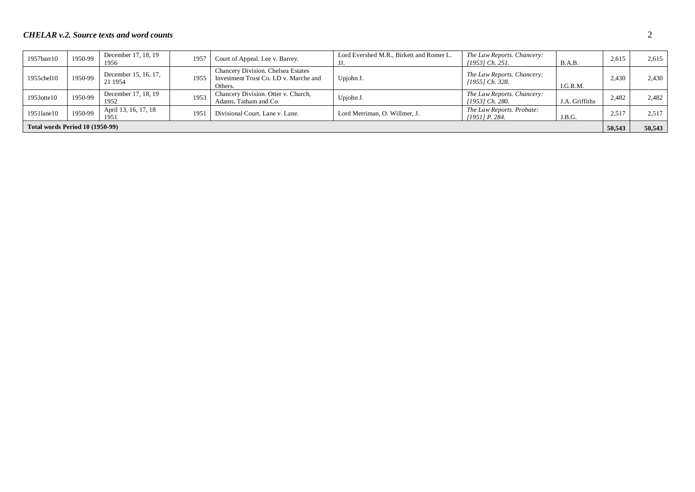| 1957barr10                             | 1950-99 | December 17, 18, 19<br>1956     | 1957 | Court of Appeal. Lee v. Barrey.                                                        | Lord Evershed M.R., Birkett and Romer L. | The Law Reports. Chancery:<br>[1953] Ch. 251. | B.A.B.         | 2,615  | 2.615  |
|----------------------------------------|---------|---------------------------------|------|----------------------------------------------------------------------------------------|------------------------------------------|-----------------------------------------------|----------------|--------|--------|
| 1955chel10                             | 1950-99 | December 15, 16, 17,<br>21 1954 | 1955 | Chancery Division. Chelsea Estates<br>Investment Trust Co. LD v. Marche and<br>Others. | Upjohn J.                                | The Law Reports. Chancery:<br>[1955] Ch. 328. | I.G.R.M.       | 2.430  | 2,430  |
| 1953 otte 10                           | 1950-99 | December 17, 18, 19<br>1952     | 1953 | Chancery Division. Otter v. Church,<br>Adams, Tatham and Co.                           | Upjohn J.                                | The Law Reports. Chancery:<br>[1953] Ch. 280. | J.A. Griffiths | 2,482  | 2,482  |
| 1951lane10                             | 1950-99 | April 13, 16, 17, 18<br>1951    | 195  | Divisional Court. Lane v. Lane.                                                        | Lord Merriman, O. Willmer, J.            | The Law Reports. Probate:<br>$[1951]$ P. 284. | J.B.G.         | 2.517  | 2.517  |
| <b>Total words Period 10 (1950-99)</b> |         |                                 |      |                                                                                        |                                          |                                               |                | 50,543 | 50,543 |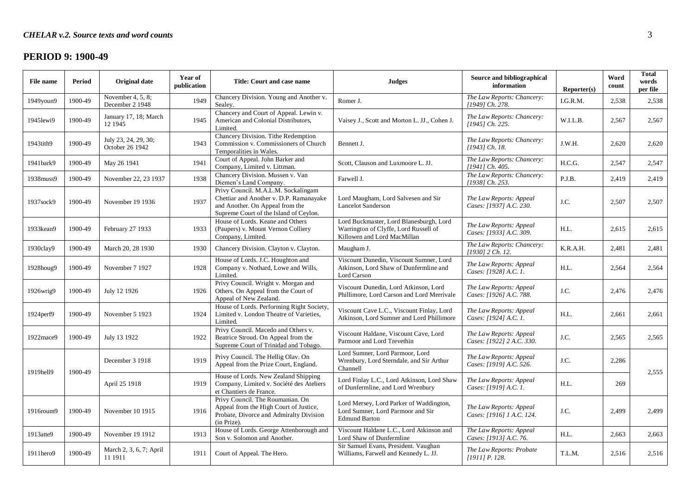### **PERIOD 9: 1900-49**

| File name  | Period  | Original date                           | Year of<br>publication | Title: Court and case name                                                                                                                                  | <b>Judges</b>                                                                                                   | Source and bibliographical<br>information            | Reporter(s) | Word<br>count | <b>Total</b><br>words<br>per file |
|------------|---------|-----------------------------------------|------------------------|-------------------------------------------------------------------------------------------------------------------------------------------------------------|-----------------------------------------------------------------------------------------------------------------|------------------------------------------------------|-------------|---------------|-----------------------------------|
| 1949youn9  | 1900-49 | November 4, 5, 8;<br>December 2 1948    | 1949                   | Chancery Division. Young and Another v.<br>Sealey.                                                                                                          | Romer J.                                                                                                        | The Law Reports: Chancery:<br>[1949] Ch. 278.        | I.G.R.M.    | 2,538         | 2,538                             |
| 1945lewi9  | 1900-49 | January 17, 18; March<br>12 1945        | 1945                   | Chancery and Court of Appeal. Lewin v.<br>American and Colonial Distributors,<br>Limited.                                                                   | Vaisey J., Scott and Morton L. JJ., Cohen J.                                                                    | The Law Reports: Chancery:<br>[1945] Ch. 225.        | W.I.L.B.    | 2,567         | 2,567                             |
| 1943tith9  | 1900-49 | July 23, 24, 29, 30;<br>October 26 1942 | 1943                   | Chancery Division. Tithe Redemption<br>Commission v. Commissioners of Church<br>Temporalities in Wales.                                                     | Bennett J.                                                                                                      | The Law Reports: Chancery:<br>[1943] Ch. 18.         | J.W.H.      | 2,620         | 2,620                             |
| 1941bark9  | 1900-49 | May 26 1941                             | 1941                   | Court of Appeal. John Barker and<br>Company, Limited v. Littman.                                                                                            | Scott, Clauson and Luxmoore L. JJ.                                                                              | The Law Reports: Chancery:<br>[1941] Ch. 405.        | H.C.G.      | 2.547         | 2,547                             |
| 1938muss9  | 1900-49 | November 22, 23 1937                    | 1938                   | Chancery Division. Mussen v. Van<br>Diemen's Land Company.                                                                                                  | Farwell J.                                                                                                      | The Law Reports: Chancery:<br>[1938] Ch. 253.        | P.J.B.      | 2,419         | 2,419                             |
| 1937sock9  | 1900-49 | November 19 1936                        | 1937                   | Privy Council. M.A.L.M. Sockalingam<br>Chettiar and Another v. D.P. Ramanayake<br>and Another. On Appeal from the<br>Supreme Court of the Island of Ceylon. | Lord Maugham, Lord Salvesen and Sir<br><b>Lancelot Sanderson</b>                                                | The Law Reports: Appeal<br>Cases: [1937] A.C. 230.   | J.C.        | 2,507         | 2,507                             |
| 1933kean9  | 1900-49 | February 27 1933                        | 1933                   | House of Lords. Keane and Others<br>(Paupers) v. Mount Vernon Colliery<br>Company, Limited.                                                                 | Lord Buckmaster, Lord Blanesburgh, Lord<br>Warrington of Clyffe, Lord Russell of<br>Killowen and Lord MacMillan | The Law Reports: Appeal<br>Cases: [1933] A.C. 309.   | H.L.        | 2,615         | 2,615                             |
| 1930clay9  | 1900-49 | March 20, 28 1930                       | 1930                   | Chancery Division. Clayton v. Clayton.                                                                                                                      | Maugham J.                                                                                                      | The Law Reports: Chancery:<br>[1930] 2 Ch. 12.       | K.R.A.H.    | 2,481         | 2,481                             |
| 1928houg9  | 1900-49 | November 7 1927                         | 1928                   | House of Lords. J.C. Houghton and<br>Company v. Nothard, Lowe and Wills,<br>Limited.                                                                        | Viscount Dunedin, Viscount Sumner, Lord<br>Atkinson, Lord Shaw of Dunfermline and<br>Lord Carson                | The Law Reports: Appeal<br>Cases: [1928] A.C. 1.     | H.L.        | 2,564         | 2,564                             |
| 1926wrig9  | 1900-49 | July 12 1926                            | 1926                   | Privy Council. Wright v. Morgan and<br>Others. On Appeal from the Court of<br>Appeal of New Zealand.                                                        | Viscount Dunedin, Lord Atkinson, Lord<br>Phillimore, Lord Carson and Lord Merrivale                             | The Law Reports: Appeal<br>Cases: [1926] A.C. 788.   | J.C.        | 2,476         | 2,476                             |
| 1924 perf9 | 1900-49 | November 5 1923                         | 1924                   | House of Lords. Performing Right Society,<br>Limited v. London Theatre of Varieties,<br>Limited.                                                            | Viscount Cave L.C., Viscount Finlay, Lord<br>Atkinson, Lord Sumner and Lord Phillimore                          | The Law Reports: Appeal<br>Cases: [1924] A.C. 1.     | H.L.        | 2,661         | 2,661                             |
| 1922mace9  | 1900-49 | July 13 1922                            | 1922                   | Privy Council. Macedo and Others v.<br>Beatrice Stroud. On Appeal from the<br>Supreme Court of Trinidad and Tobago.                                         | Viscount Haldane, Viscount Cave, Lord<br>Parmoor and Lord Trevethin                                             | The Law Reports: Appeal<br>Cases: [1922] 2 A.C. 330. | J.C.        | 2,565         | 2,565                             |
| 1919hell9  | 1900-49 | December 3 1918                         | 1919                   | Privy Council. The Hellig Olav. On<br>Appeal from the Prize Court, England.                                                                                 | Lord Sumner, Lord Parmoor, Lord<br>Wrenbury, Lord Sterndale, and Sir Arthur<br>Channell                         | The Law Reports: Appeal<br>Cases: [1919] A.C. 526.   | J.C.        | 2,286         | 2,555                             |
|            |         | April 25 1918                           | 1919                   | House of Lords. New Zealand Shipping<br>Company, Limited v. Société des Ateliers<br>et Chantiers de France.                                                 | Lord Finlay L.C., Lord Atkinson, Lord Shaw<br>of Dunfermline, and Lord Wrenbury                                 | The Law Reports: Appeal<br>Cases: [1919] A.C. 1.     | H.L.        | 269           |                                   |
| 1916roum9  | 1900-49 | November 10 1915                        | 1916                   | Privy Council. The Roumanian. On<br>Appeal from the High Court of Justice,<br>Probate, Divorce and Admiralty Division<br>(in Prize).                        | Lord Mersey, Lord Parker of Waddington,<br>Lord Sumner, Lord Parmoor and Sir<br><b>Edmund Barton</b>            | The Law Reports: Appeal<br>Cases: [1916] 1 A.C. 124. | J.C.        | 2,499         | 2,499                             |
| 1913atte9  | 1900-49 | November 19 1912                        | 1913                   | House of Lords. George Attenborough and<br>Son v. Solomon and Another.                                                                                      | Viscount Haldane L.C., Lord Atkinson and<br>Lord Shaw of Dunfermline                                            | The Law Reports: Appeal<br>Cases: [1913] A.C. 76.    | H.L.        | 2,663         | 2,663                             |
| 1911hero9  | 1900-49 | March 2, 3, 6, 7; April<br>11 1911      | 1911                   | Court of Appeal. The Hero.                                                                                                                                  | Sir Samuel Evans, President. Vaughan<br>Williams, Farwell and Kennedy L. JJ.                                    | The Law Reports: Probate<br>$[1911]$ P. 128.         | T.L.M.      | 2,516         | 2,516                             |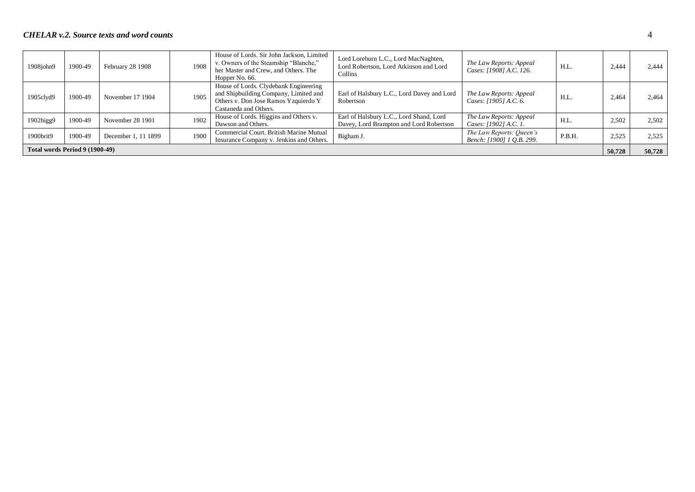| 1908john9                      | 1900-49 | February 28 1908    | 1908 | House of Lords. Sir John Jackson, Limited<br>v. Owners of the Steamship "Blanche,"<br>her Master and Crew, and Others. The<br>Hopper No. 66.    | Lord Loreburn L.C., Lord MacNaghten,<br>Lord Robertson, Lord Atkinson and Lord<br><b>Collins</b> | The Law Reports: Appeal<br>Cases: [1908] A.C. 126.    | H.L.   | 2.444  | 2.444  |
|--------------------------------|---------|---------------------|------|-------------------------------------------------------------------------------------------------------------------------------------------------|--------------------------------------------------------------------------------------------------|-------------------------------------------------------|--------|--------|--------|
| 1905clyd9                      | 1900-49 | November 17 1904    | 1905 | House of Lords. Clydebank Engineering<br>and Shipbuilding Company, Limited and<br>Others v. Don Jose Ramos Yzquierdo Y<br>Castaneda and Others. | Earl of Halsbury L.C., Lord Davey and Lord<br>Robertson                                          | The Law Reports: Appeal<br>Cases: [1905] A.C. 6.      | H.L.   | 2,464  | 2,464  |
| 1902higg9                      | 1900-49 | November 28 1901    | 1902 | House of Lords. Higgins and Others v.<br>Dawson and Others.                                                                                     | Earl of Halsbury L.C., Lord Shand, Lord<br>Davey, Lord Brampton and Lord Robertson               | The Law Reports: Appeal<br>Cases: [1902] A.C. 1.      | H.L.   | 2,502  | 2,502  |
| 1900brit9                      | 1900-49 | December 1, 11 1899 | 1900 | Commercial Court. British Marine Mutual<br>Insurance Company v. Jenkins and Others.                                                             | Bigham J.                                                                                        | The Law Reports: Queen's<br>Bench: [1900] 1 O.B. 299. | P.B.H. | 2,525  | 2.525  |
| Total words Period 9 (1900-49) |         |                     |      |                                                                                                                                                 |                                                                                                  |                                                       |        | 50,728 | 50,728 |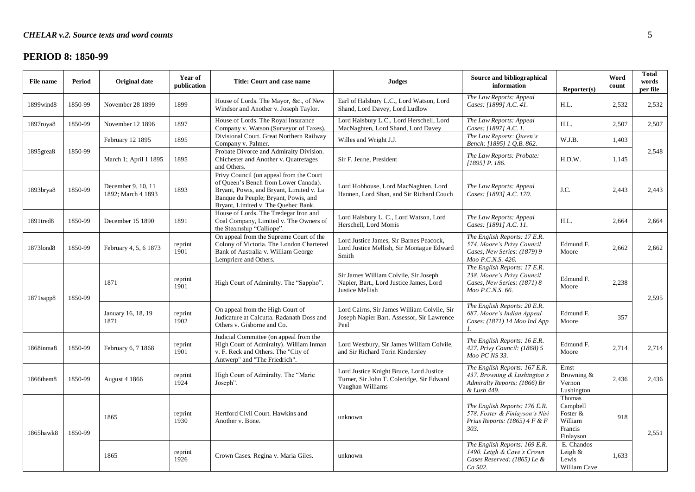# **PERIOD 8: 1850-99**

| File name       | Period  | <b>Original date</b>                     | Year of<br>publication | Title: Court and case name                                                                                                                                                                                 | <b>Judges</b>                                                                                            | Source and bibliographical<br>information                                                                      | Reporter(s)                                                       | Word<br>count | <b>Total</b><br>words<br>per file |
|-----------------|---------|------------------------------------------|------------------------|------------------------------------------------------------------------------------------------------------------------------------------------------------------------------------------------------------|----------------------------------------------------------------------------------------------------------|----------------------------------------------------------------------------------------------------------------|-------------------------------------------------------------------|---------------|-----------------------------------|
| 1899wind8       | 1850-99 | November 28 1899                         | 1899                   | House of Lords. The Mayor, &c., of New<br>Windsor and Another v. Joseph Taylor.                                                                                                                            | Earl of Halsbury L.C., Lord Watson, Lord<br>Shand, Lord Davey, Lord Ludlow                               | The Law Reports: Appeal<br>Cases: [1899] A.C. 41.                                                              | H.L.                                                              | 2,532         | 2,532                             |
| 1897roya8       | 1850-99 | November 12 1896                         | 1897                   | House of Lords. The Royal Insurance<br>Company v. Watson (Surveyor of Taxes).                                                                                                                              | Lord Halsbury L.C., Lord Herschell, Lord<br>MacNaghten, Lord Shand, Lord Davey                           | The Law Reports: Appeal<br>Cases: [1897] A.C. 1.                                                               | H.L.                                                              | 2,507         | 2,507                             |
|                 |         | February 12 1895                         | 1895                   | Divisional Court. Great Northern Railway<br>Company v. Palmer.                                                                                                                                             | Willes and Wright J.J.                                                                                   | The Law Reports: Queen's<br>Bench: [1895] 1 Q.B. 862.                                                          | W.J.B.                                                            | 1,403         |                                   |
| $1895$ grea $8$ | 1850-99 | March 1; April 1 1895                    | 1895                   | Probate Divorce and Admiralty Division.<br>Chichester and Another v. Quatrefages<br>and Others.                                                                                                            | Sir F. Jeune, President                                                                                  | The Law Reports: Probate:<br>$[1895]$ P. 186.                                                                  | H.D.W.                                                            | 1,145         | 2,548                             |
| 1893brya8       | 1850-99 | December 9, 10, 11<br>1892; March 4 1893 | 1893                   | Privy Council (on appeal from the Court<br>of Queen's Bench from Lower Canada).<br>Bryant, Powis, and Bryant, Limited v. La<br>Banque du Peuple; Bryant, Powis, and<br>Bryant, Limited v. The Quebec Bank. | Lord Hobhouse, Lord MacNaghten, Lord<br>Hannen, Lord Shan, and Sir Richard Couch                         | The Law Reports: Appeal<br>Cases: [1893] A.C. 170.                                                             | J.C.                                                              | 2,443         | 2,443                             |
| 1891tred8       | 1850-99 | December 15 1890                         | 1891                   | House of Lords. The Tredegar Iron and<br>Coal Company, Limited v. The Owners of<br>the Steamship "Calliope".                                                                                               | Lord Halsbury L. C., Lord Watson, Lord<br>Herschell, Lord Morris                                         | The Law Reports: Appeal<br>Cases: [1891] A.C. 11.                                                              | H.L.                                                              | 2,664         | 2,664                             |
| 18731ond8       | 1850-99 | February 4, 5, 6 1873                    | reprint<br>1901        | On appeal from the Supreme Court of the<br>Colony of Victoria. The London Chartered<br>Bank of Australia v. William George<br>Lempriere and Others.                                                        | Lord Justice James, Sir Barnes Peacock,<br>Lord Justice Mellish, Sir Montague Edward<br>Smith            | The English Reports: 17 E.R.<br>574. Moore's Privy Council<br>Cases, New Series: (1879) 9<br>Moo P.C.N.S. 426. | Edmund F.<br>Moore                                                | 2,662         | 2,662                             |
| $1871$ sapp $8$ | 1850-99 | 1871                                     | reprint<br>1901        | High Court of Admiralty. The "Sappho".                                                                                                                                                                     | Sir James William Colvile, Sir Joseph<br>Napier, Bart., Lord Justice James, Lord<br>Justice Mellish      | The English Reports: 17 E.R.<br>238. Moore's Privy Council<br>Cases, New Series: (1871) 8<br>Moo P.C.N.S. 66.  | Edmund F.<br>Moore                                                | 2,238         | 2,595                             |
|                 |         | January 16, 18, 19<br>1871               | reprint<br>1902        | On appeal from the High Court of<br>Judicature at Calcutta. Radanath Doss and<br>Others v. Gisborne and Co.                                                                                                | Lord Cairns, Sir James William Colvile, Sir<br>Joseph Napier Bart. Assessor, Sir Lawrence<br>Peel        | The English Reports: 20 E.R.<br>687. Moore's Indian Appeal<br>Cases: (1871) 14 Moo Ind App                     | Edmund F.<br>Moore                                                | 357           |                                   |
| 1868inma8       | 1850-99 | February 6, 7 1868                       | reprint<br>1901        | Judicial Committee (on appeal from the<br>High Court of Admiralty). William Inman<br>v. F. Reck and Others. The "City of<br>Antwerp" and "The Friedrich".                                                  | Lord Westbury, Sir James William Colvile,<br>and Sir Richard Torin Kindersley                            | The English Reports: 16 E.R.<br>427. Privy Council: (1868) 5<br>Moo PC NS 33.                                  | Edmund F.<br>Moore                                                | 2,714         | 2,714                             |
| 1866them8       | 1850-99 | <b>August 4 1866</b>                     | reprint<br>1924        | High Court of Admiralty. The "Marie"<br>Joseph".                                                                                                                                                           | Lord Justice Knight Bruce, Lord Justice<br>Turner, Sir John T. Coleridge, Sir Edward<br>Vaughan Williams | The English Reports: 167 E.R.<br>437. Browning & Lushington's<br>Admiralty Reports: (1866) Br<br>& Lush 449.   | Ernst<br>Browning &<br>Vernon<br>Lushington                       | 2,436         | 2,436                             |
| 1865hawk8       | 1850-99 | 1865                                     | reprint<br>1930        | Hertford Civil Court. Hawkins and<br>Another v. Bone.                                                                                                                                                      | unknown                                                                                                  | The English Reports: 176 E.R.<br>578. Foster & Finlayson's Nisi<br>Prius Reports: $(1865)$ 4 F & F<br>303.     | Thomas<br>Campbell<br>Foster &<br>William<br>Francis<br>Finlayson | 918           | 2,551                             |
|                 |         | 1865                                     | reprint<br>1926        | Crown Cases. Regina v. Maria Giles.                                                                                                                                                                        | unknown                                                                                                  | The English Reports: 169 E.R.<br>1490. Leigh & Cave's Crown<br>Cases Reserved: (1865) Le &<br>Ca 502.          | E. Chandos<br>Leigh $&$<br>Lewis<br>William Cave                  | 1,633         |                                   |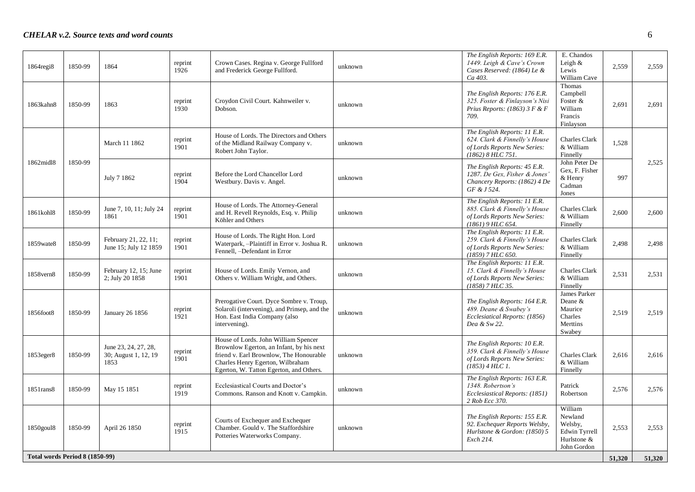| $1864$ regi $8$                | 1850-99 | 1864                                                 | reprint<br>1926 | Crown Cases. Regina v. George Fullford<br>and Frederick George Fullford.                                                                                                                                   | unknown | The English Reports: 169 E.R.<br>1449. Leigh & Cave's Crown<br>Cases Reserved: (1864) Le &<br>Ca 403.                | E. Chandos<br>Leigh $&$<br>Lewis<br>William Cave                                    | 2,559  | 2,559  |
|--------------------------------|---------|------------------------------------------------------|-----------------|------------------------------------------------------------------------------------------------------------------------------------------------------------------------------------------------------------|---------|----------------------------------------------------------------------------------------------------------------------|-------------------------------------------------------------------------------------|--------|--------|
| 1863kahn8                      | 1850-99 | 1863                                                 | reprint<br>1930 | Croydon Civil Court. Kahnweiler v.<br>Dobson.                                                                                                                                                              | unknown | The English Reports: 176 E.R.<br>325. Foster & Finlayson's Nisi<br>Prius Reports: $(1863)$ 3 F & F<br>709.           | Thomas<br>Campbell<br>Foster &<br>William<br>Francis<br>Finlayson                   | 2,691  | 2,691  |
|                                |         | March 11 1862                                        | reprint<br>1901 | House of Lords. The Directors and Others<br>of the Midland Railway Company v.<br>Robert John Taylor.                                                                                                       | unknown | The English Reports: 11 E.R.<br>624. Clark & Finnelly's House<br>of Lords Reports New Series:<br>(1862) 8 HLC 751.   | <b>Charles Clark</b><br>& William<br>Finnelly                                       | 1,528  |        |
| 1862midl8                      | 1850-99 | July 7 1862                                          | reprint<br>1904 | Before the Lord Chancellor Lord<br>Westbury. Davis v. Angel.                                                                                                                                               | unknown | The English Reports: 45 E.R.<br>1287. De Gex, Fisher & Jones<br>Chancery Reports: (1862) 4 De<br>GF & J 524.         | John Peter De<br>Gex, F. Fisher<br>& Henry<br>Cadman<br>Jones                       | 997    | 2,525  |
| 1861kohl8                      | 1850-99 | June 7, 10, 11; July 24<br>1861                      | reprint<br>1901 | House of Lords. The Attorney-General<br>and H. Revell Reynolds, Esq. v. Philip<br>Köhler and Others                                                                                                        | unknown | The English Reports: 11 E.R.<br>885. Clark & Finnelly's House<br>of Lords Reports New Series:<br>(1861) 9 HLC 654.   | <b>Charles Clark</b><br>& William<br>Finnelly                                       | 2,600  | 2,600  |
| 1859wate8                      | 1850-99 | February 21, 22, 11;<br>June 15; July 12 1859        | reprint<br>1901 | House of Lords. The Right Hon. Lord<br>Waterpark, -Plaintiff in Error v. Joshua R.<br>Fennell, -Defendant in Error                                                                                         | unknown | The English Reports: 11 E.R.<br>259. Clark & Finnelly's House<br>of Lords Reports New Series:<br>$(1859)$ 7 HLC 650. | Charles Clark<br>& William<br>Finnelly                                              | 2,498  | 2,498  |
| 1858 vern8                     | 1850-99 | February 12, 15; June<br>2; July 20 1858             | reprint<br>1901 | House of Lords. Emily Vernon, and<br>Others v. William Wright, and Others.                                                                                                                                 | unknown | The English Reports: 11 E.R.<br>15. Clark & Finnelly's House<br>of Lords Reports New Series:<br>$(1858)$ 7 HLC 35.   | <b>Charles Clark</b><br>& William<br>Finnelly                                       | 2,531  | 2,531  |
| 1856foot8                      | 1850-99 | <b>January 26 1856</b>                               | reprint<br>1921 | Prerogative Court. Dyce Sombre v. Troup,<br>Solaroli (intervening), and Prinsep, and the<br>Hon. East India Company (also<br>intervening).                                                                 | unknown | The English Reports: 164 E.R.<br>489. Deane & Swabey's<br>Ecclesiatical Reports: (1856)<br>Dea & Sw 22.              | James Parker<br>Deane &<br>Maurice<br>Charles<br>Merttins<br>Swabey                 | 2,519  | 2,519  |
| 1853eger8                      | 1850-99 | June 23, 24, 27, 28,<br>30; August 1, 12, 19<br>1853 | reprint<br>1901 | House of Lords. John William Spencer<br>Brownlow Egerton, an Infant, by his next<br>friend v. Earl Brownlow, The Honourable<br>Charles Henry Egerton, Wilbraham<br>Egerton, W. Tatton Egerton, and Others. | unknown | The English Reports: 10 E.R.<br>359. Clark & Finnelly's House<br>of Lords Reports New Series:<br>$(1853)$ 4 HLC 1.   | <b>Charles Clark</b><br>& William<br>Finnelly                                       | 2,616  | 2,616  |
| 1851 rans8                     | 1850-99 | May 15 1851                                          | reprint<br>1919 | Ecclesiastical Courts and Doctor's<br>Commons. Ranson and Knott v. Campkin.                                                                                                                                | unknown | The English Reports: 163 E.R.<br>1348. Robertson's<br>Ecclesiastical Reports: (1851)<br>2 Rob Ecc 370.               | Patrick<br>Robertson                                                                | 2,576  | 2,576  |
| 1850goul8                      | 1850-99 | April 26 1850                                        | reprint<br>1915 | Courts of Exchequer and Exchequer<br>Chamber. Gould v. The Staffordshire<br>Potteries Waterworks Company.                                                                                                  | unknown | The English Reports: 155 E.R.<br>92. Exchequer Reports Welsby,<br>Hurlstone & Gordon: (1850) 5<br>Exch 214.          | William<br>Newland<br>Welsby,<br><b>Edwin Tyrrell</b><br>Hurlstone &<br>John Gordon | 2,553  | 2,553  |
| Total words Period 8 (1850-99) |         |                                                      |                 |                                                                                                                                                                                                            |         |                                                                                                                      |                                                                                     | 51,320 | 51,320 |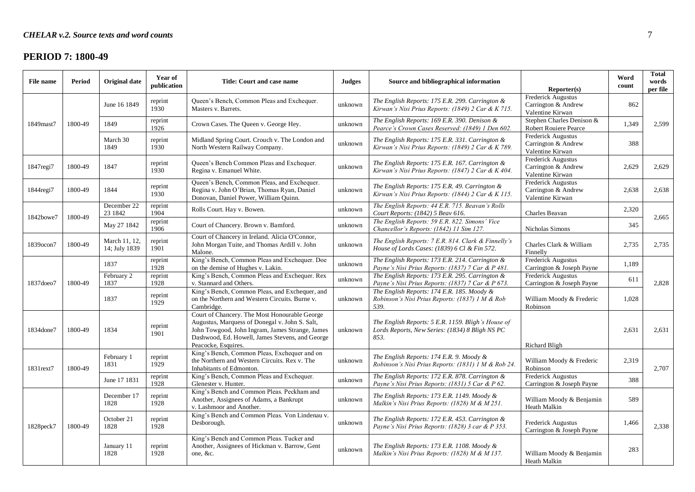### **PERIOD 7: 1800-49**

| File name       | Period  | <b>Original date</b>           | Year of<br>publication | Title: Court and case name                                                                                                                                                                                                   | <b>Judges</b> | Source and bibliographical information                                                                       | Reporter(s)                                                   | Word<br>count | Total<br>words<br>per file |
|-----------------|---------|--------------------------------|------------------------|------------------------------------------------------------------------------------------------------------------------------------------------------------------------------------------------------------------------------|---------------|--------------------------------------------------------------------------------------------------------------|---------------------------------------------------------------|---------------|----------------------------|
|                 |         | June 16 1849                   | reprint<br>1930        | Queen's Bench, Common Pleas and Exchequer.<br>Masters v. Barrets.                                                                                                                                                            | unknown       | The English Reports: 175 E.R. 299. Carrington &<br>Kirwan's Nisi Prius Reports: $(1849)$ 2 Car & K 715.      | Frederick Augustus<br>Carrington & Andrew<br>Valentine Kirwan | 862           |                            |
| 1849mast7       | 1800-49 | 1849                           | reprint<br>1926        | Crown Cases. The Queen v. George Hey.                                                                                                                                                                                        | unknown       | The English Reports: 169 E.R. 390. Denison &<br>Pearce's Crown Cases Reserved: (1849) 1 Den 602.             | Stephen Charles Denison &<br>Robert Rouiere Pearce            | 1,349         | 2,599                      |
|                 |         | March 30<br>1849               | reprint<br>1930        | Midland Spring Court. Crouch v. The London and<br>North Western Railway Company.                                                                                                                                             | unknown       | The English Reports: 175 E.R. 331. Carrington &<br>Kirwan's Nisi Prius Reports: (1849) 2 Car & K 789.        | Frederick Augustus<br>Carrington & Andrew<br>Valentine Kirwan | 388           |                            |
| 1847regi7       | 1800-49 | 1847                           | reprint<br>1930        | Queen's Bench Common Pleas and Exchequer.<br>Regina v. Emanuel White.                                                                                                                                                        | unknown       | The English Reports: 175 E.R. 167. Carrington &<br>Kirwan's Nisi Prius Reports: (1847) 2 Car & K 404.        | Frederick Augustus<br>Carrington & Andrew<br>Valentine Kirwan | 2,629         | 2,629                      |
| $1844$ regi $7$ | 1800-49 | 1844                           | reprint<br>1930        | Queen's Bench, Common Pleas, and Exchequer.<br>Regina v. John O'Brian, Thomas Ryan, Daniel<br>Donovan, Daniel Power, William Quinn.                                                                                          | unknown       | The English Reports: 175 E.R. 49. Carrington $\&$<br>Kirwan's Nisi Prius Reports: (1844) 2 Car & K 115.      | Frederick Augustus<br>Carrington & Andrew<br>Valentine Kirwan | 2,638         | 2,638                      |
| 1842bowe7       | 1800-49 | December 22<br>23 1842         | reprint<br>1904        | Rolls Court. Hay v. Bowen.                                                                                                                                                                                                   | unknown       | The English Reports: 44 E.R. 715. Beavan's Rolls<br>Court Reports: (1842) 5 Beav 616.                        | Charles Beavan                                                | 2,320         | 2,665                      |
|                 |         | May 27 1842                    | reprint<br>1906        | Court of Chancery. Brown v. Bamford.                                                                                                                                                                                         | unknown       | The English Reports: 59 E.R. 822. Simons' Vice<br>Chancellor's Reports: (1842) 11 Sim 127.                   | Nicholas Simons                                               | 345           |                            |
| 1839ocon7       | 1800-49 | March 11, 12,<br>14; July 1839 | reprint<br>1901        | Court of Chancery in Ireland. Alicia O'Connor,<br>John Morgan Tuite, and Thomas Ardill v. John<br>Malone.                                                                                                                    | unknown       | The English Reports: 7 E.R. 814. Clark & Finnelly's<br>House of Lords Cases: (1839) 6 Cl & Fin 572.          | Charles Clark & William<br>Finnelly                           | 2,735         | 2,735                      |
|                 |         | 1837                           | reprint<br>1928        | King's Bench, Common Pleas and Exchequer. Doe<br>on the demise of Hughes v. Lakin.                                                                                                                                           | unknown       | The English Reports: 173 E.R. 214. Carrington &<br>Payne's Nisi Prius Reports: (1837) 7 Car & P 481.         | Frederick Augustus<br>Carrington & Joseph Payne               | 1,189         |                            |
| 1837doeo7       | 1800-49 | February 2<br>1837             | reprint<br>1928        | King's Bench, Common Pleas and Exchequer. Rex<br>v. Stannard and Others.                                                                                                                                                     | unknown       | The English Reports: 173 E.R. 295. Carrington &<br>Payne's Nisi Prius Reports: (1837) 7 Car & P 673.         | Frederick Augustus<br>Carrington & Joseph Payne               | 611           | 2,828                      |
|                 |         | 1837                           | reprint<br>1929        | King's Bench, Common Pleas, and Exchequer, and<br>on the Northern and Western Circuits. Burne v.<br>Cambridge.                                                                                                               | unknown       | The English Reports: 174 E.R. 185. Moody &<br>Robinson's Nisi Prius Reports: (1837) 1 M & Rob<br>539.        | William Moody & Frederic<br>Robinson                          | 1,028         |                            |
| 1834done7       | 1800-49 | 1834                           | reprint<br>1901        | Court of Chancery. The Most Honourable George<br>Augustus, Marquess of Donegal v. John S. Salt,<br>John Towgood, John Ingram, James Strange, James<br>Dashwood, Ed. Howell, James Stevens, and George<br>Peacocke, Esquires. | unknown       | The English Reports: 5 E.R. 1159. Bligh's House of<br>Lords Reports, New Series: (1834) 8 Bligh NS PC<br>853 | <b>Richard Bligh</b>                                          | 2,631         | 2,631                      |
| 1831rext7       | 1800-49 | February 1<br>1831             | reprint<br>1929        | King's Bench, Common Pleas, Exchequer and on<br>the Northern and Western Circuits. Rex v. The<br>Inhabitants of Edmonton.                                                                                                    | unknown       | The English Reports: 174 E.R. 9. Moody &<br>Robinson's Nisi Prius Reports: (1831) 1 M & Rob 24.              | William Moody & Frederic<br>Robinson                          | 2.319         | 2,707                      |
|                 |         | June 17 1831                   | reprint<br>1928        | King's Bench, Common Pleas and Exchequer.<br>Glenester v. Hunter.                                                                                                                                                            | unknown       | The English Reports: 172 E.R. 878. Carrington &<br>Payne's Nisi Prius Reports: (1831) 5 Car & P 62.          | Frederick Augustus<br>Carrington & Joseph Payne               | 388           |                            |
|                 |         | December 17<br>1828            | reprint<br>1928        | King's Bench and Common Pleas. Peckham and<br>Another, Assignees of Adams, a Bankrupt<br>v. Lashmoor and Another.                                                                                                            | unknown       | The English Reports: 173 E.R. 1149. Moody &<br>Malkin's Nisi Prius Reports: (1828) M & M 251.                | William Moody & Benjamin<br>Heath Malkin                      | 589           |                            |
| 1828 peck 7     | 1800-49 | October 21<br>1828             | reprint<br>1928        | King's Bench and Common Pleas. Von Lindenau v.<br>Desborough.                                                                                                                                                                | unknown       | The English Reports: 172 E.R. 453. Carrington &<br>Payne's Nisi Prius Reports: (1828) 3 car & P 353.         | Frederick Augustus<br>Carrington & Joseph Payne               | 1,466         | 2.338                      |
|                 |         | January 11<br>1828             | reprint<br>1928        | King's Bench and Common Pleas. Tucker and<br>Another, Assignees of Hickman v. Barrow, Gent<br>one, &c.                                                                                                                       | unknown       | The English Reports: 173 E.R. 1108. Moody &<br>Malkin's Nisi Prius Reports: (1828) M & M 137.                | William Moody & Benjamin<br>Heath Malkin                      | 283           |                            |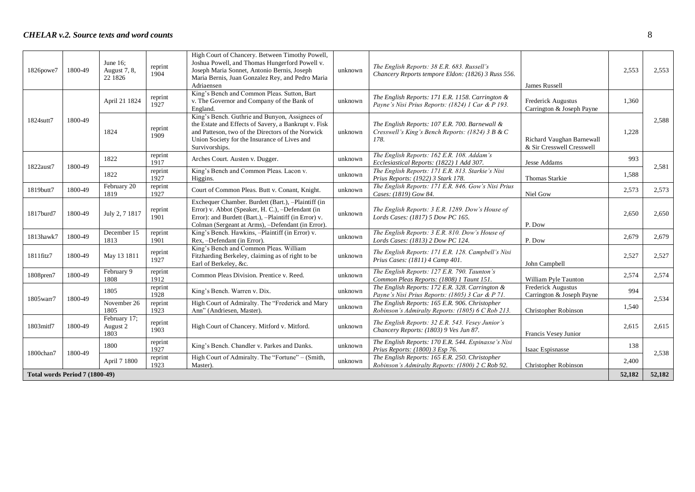| 1826powe7                      | 1800-49 | June $16$ :<br>August 7, 8,<br>22 1826 | reprint<br>1904 | High Court of Chancery. Between Timothy Powell,<br>Joshua Powell, and Thomas Hungerford Powell v.<br>Joseph Maria Sonnet, Antonio Bernis, Joseph<br>Maria Bernis, Juan Gonzalez Rey, and Pedro Maria<br>Adriaensen            | unknown | The English Reports: 38 E.R. 683. Russell's<br>Chancery Reports tempore Eldon: (1826) 3 Russ 556.          | James Russell                                          | 2,553  | 2,553  |
|--------------------------------|---------|----------------------------------------|-----------------|-------------------------------------------------------------------------------------------------------------------------------------------------------------------------------------------------------------------------------|---------|------------------------------------------------------------------------------------------------------------|--------------------------------------------------------|--------|--------|
|                                |         | April 21 1824                          | reprint<br>1927 | King's Bench and Common Pleas. Sutton, Bart<br>v. The Governor and Company of the Bank of<br>England.                                                                                                                         | unknown | The English Reports: 171 E.R. 1158. Carrington &<br>Payne's Nisi Prius Reports: (1824) 1 Car & P 193.      | Frederick Augustus<br>Carrington & Joseph Payne        | 1.360  |        |
| 1824sutt7                      | 1800-49 | 1824                                   | reprint<br>1909 | King's Bench. Guthrie and Bunyon, Assignees of<br>the Estate and Effects of Savery, a Bankrupt v. Fisk<br>and Patteson, two of the Directors of the Norwick<br>Union Society for the Insurance of Lives and<br>Survivorships. | unknown | The English Reports: 107 E.R. 700. Barnewall &<br>Cresswell's King's Bench Reports: (1824) 3 B & C<br>178. | Richard Vaughan Barnewall<br>& Sir Cresswell Cresswell | 1,228  | 2.588  |
|                                |         | 1822                                   | reprint<br>1917 | Arches Court. Austen v. Dugger.                                                                                                                                                                                               | unknown | The English Reports: 162 E.R. 108. Addam's<br>Ecclesiastical Reports: (1822) 1 Add 307.                    | Jesse Addams                                           | 993    |        |
| 1822aust7                      | 1800-49 | 1822                                   | reprint<br>1927 | King's Bench and Common Pleas. Lacon v.<br>Higgins.                                                                                                                                                                           | unknown | The English Reports: 171 E.R. 813. Starkie's Nisi<br>Prius Reports: (1922) 3 Stark 178.                    | Thomas Starkie                                         | 1.588  | 2,581  |
| 1819butt7                      | 1800-49 | February 20<br>1819                    | reprint<br>1927 | Court of Common Pleas. Butt v. Conant, Knight.                                                                                                                                                                                | unknown | The English Reports: 171 E.R. 846. Gow's Nisi Prius<br>Cases: (1819) Gow 84.                               | Niel Gow                                               | 2,573  | 2,573  |
| 1817burd7                      | 1800-49 | July 2, 7 1817                         | reprint<br>1901 | Exchequer Chamber. Burdett (Bart.), -Plaintiff (in<br>Error) v. Abbot (Speaker, H. C.), -Defendant (in<br>Error): and Burdett (Bart.), -Plaintiff (in Error) v.<br>Colman (Sergeant at Arms), -Defendant (in Error).          | unknown | The English Reports: 3 E.R. 1289. Dow's House of<br>Lords Cases: (1817) 5 Dow PC 165.                      | P. Dow                                                 | 2,650  | 2,650  |
| 1813hawk7                      | 1800-49 | December 15<br>1813                    | reprint<br>1901 | King's Bench. Hawkins, -Plaintiff (in Error) v.<br>Rex, -Defendant (in Error).                                                                                                                                                | unknown | The English Reports: 3 E.R. 810. Dow's House of<br>Lords Cases: (1813) 2 Dow PC 124.                       | P. Dow                                                 | 2,679  | 2,679  |
| 1811fitz7                      | 1800-49 | May 13 1811                            | reprint<br>1927 | King's Bench and Common Pleas. William<br>Fitzharding Berkeley, claiming as of right to be<br>Earl of Berkeley, &c.                                                                                                           | unknown | The English Reports: 171 E.R. 128. Campbell's Nisi<br>Prius Cases: (1811) 4 Camp 401.                      | John Campbell                                          | 2,527  | 2,527  |
| 1808pren7                      | 1800-49 | February 9<br>1808                     | reprint<br>1912 | Common Pleas Division. Prentice v. Reed.                                                                                                                                                                                      | unknown | The English Reports: 127 E.R. 790. Taunton's<br>Common Pleas Reports: (1808) 1 Taunt 151.                  | William Pyle Taunton                                   | 2,574  | 2,574  |
| 1805warr7                      | 1800-49 | 1805                                   | reprint<br>1928 | King's Bench. Warren v. Dix.                                                                                                                                                                                                  | unknown | The English Reports: 172 E.R. 328. Carrington &<br>Payne's Nisi Prius Reports: (1805) 3 Car & P 71.        | Frederick Augustus<br>Carrington & Joseph Payne        | 994    | 2,534  |
|                                |         | November 26<br>1805                    | reprint<br>1923 | High Court of Admiralty. The "Frederick and Mary<br>Ann" (Andriesen, Master).                                                                                                                                                 | unknown | The English Reports: 165 E.R. 906. Christopher<br>Robinson's Admiralty Reports: (1805) 6 C Rob 213.        | Christopher Robinson                                   | 1,540  |        |
| 1803mitf7                      | 1800-49 | February 17;<br>August 2<br>1803       | reprint<br>1903 | High Court of Chancery. Mitford v. Mitford.                                                                                                                                                                                   | unknown | The English Reports: 32 E.R. 543. Vesey Junior's<br>Chancery Reports: (1803) 9 Ves Jun 87.                 | Francis Vesey Junior                                   | 2,615  | 2,615  |
| 1800chan7                      | 1800-49 | 1800                                   | reprint<br>1927 | King's Bench. Chandler v. Parkes and Danks.                                                                                                                                                                                   | unknown | The English Reports: 170 E.R. 544. Espinasse's Nisi<br>Prius Reports: (1800) 3 Esp 76.                     | Isaac Espisnasse                                       | 138    | 2,538  |
|                                |         | April 7 1800                           | reprint<br>1923 | High Court of Admiralty. The "Fortune" - (Smith,<br>Master).                                                                                                                                                                  | unknown | The English Reports: 165 E.R. 250. Christopher<br>Robinson's Admiralty Reports: (1800) 2 C Rob 92.         | Christopher Robinson                                   | 2,400  |        |
| Total words Period 7 (1800-49) |         |                                        |                 |                                                                                                                                                                                                                               |         |                                                                                                            |                                                        | 52,182 | 52,182 |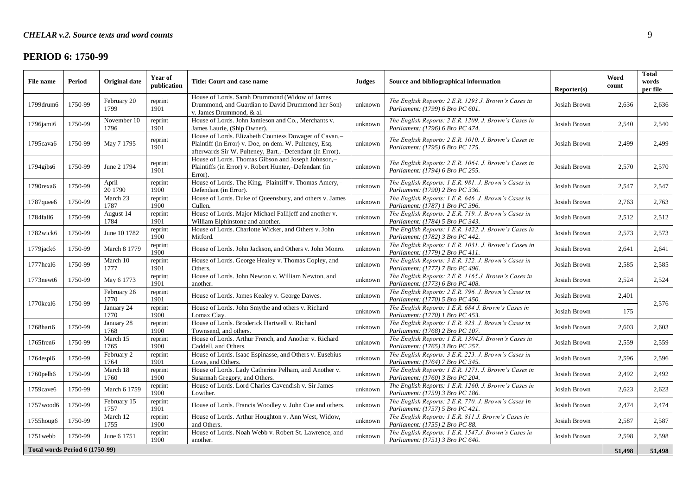# **PERIOD 6: 1750-99**

| <b>File name</b>               | Period  | Original date       | Year of<br>publication | Title: Court and case name                                                                                                                                                  | <b>Judges</b> | Source and bibliographical information                                                    | Reporter(s)  | Word<br>count | <b>Total</b><br>words<br>per file |
|--------------------------------|---------|---------------------|------------------------|-----------------------------------------------------------------------------------------------------------------------------------------------------------------------------|---------------|-------------------------------------------------------------------------------------------|--------------|---------------|-----------------------------------|
| 1799drum6                      | 1750-99 | February 20<br>1799 | reprint<br>1901        | House of Lords. Sarah Drummond (Widow of James<br>Drummond, and Guardian to David Drummond her Son)<br>v. James Drummond, & al.                                             | unknown       | The English Reports: 2 E.R. 1293 J. Brown's Cases in<br>Parliament: (1799) 6 Bro PC 601.  | Josiah Brown | 2,636         | 2,636                             |
| $1796$ jami $6$                | 1750-99 | November 10<br>1796 | reprint<br>1901        | House of Lords. John Jamieson and Co., Merchants v.<br>James Laurie, (Ship Owner).                                                                                          | unknown       | The English Reports: 2 E.R. 1209. J. Brown's Cases in<br>Parliament: (1796) 6 Bro PC 474. | Josiah Brown | 2.540         | 2,540                             |
| 1795cava6                      | 1750-99 | May 7 1795          | reprint<br>1901        | House of Lords. Elizabeth Countess Dowager of Cavan,-<br>Plaintiff (in Error) v. Doe, on dem. W. Pulteney, Esq.<br>afterwards Sir W. Pulteney, Bart.,-Defendant (in Error). | unknown       | The English Reports: 2 E.R. 1010. J. Brown's Cases in<br>Parliament: (1795) 6 Bro PC 175. | Josiah Brown | 2,499         | 2,499                             |
| $1794$ gibs $6$                | 1750-99 | June 2 1794         | reprint<br>1901        | House of Lords. Thomas Gibson and Joseph Johnson,-<br>Plaintiffs (in Error) v. Robert Hunter,-Defendant (in<br>Error).                                                      | unknown       | The English Reports: 2 E.R. 1064. J. Brown's Cases in<br>Parliament: (1794) 6 Bro PC 255. | Josiah Brown | 2.570         | 2,570                             |
| 1790rexa6                      | 1750-99 | April<br>20 1790    | reprint<br>1900        | House of Lords. The King,-Plaintiff v. Thomas Amery,-<br>Defendant (in Error).                                                                                              | unknown       | The English Reports: 1 E.R. 981. J. Brown's Cases in<br>Parliament: (1790) 2 Bro PC 336.  | Josiah Brown | 2,547         | 2,547                             |
| 1787quee6                      | 1750-99 | March 23<br>1787    | reprint<br>1900        | House of Lords. Duke of Queensbury, and others v. James<br>Cullen.                                                                                                          | unknown       | The English Reports: 1 E.R. 646. J. Brown's Cases in<br>Parliament: (1787) 1 Bro PC 396.  | Josiah Brown | 2,763         | 2,763                             |
| 1784fall6                      | 1750-99 | August 14<br>1784   | reprint<br>1901        | House of Lords. Major Michael Fallijeff and another v.<br>William Elphinstone and another.                                                                                  | unknown       | The English Reports: 2 E.R. 719. J. Brown's Cases in<br>Parliament: (1784) 5 Bro PC 343.  | Josiah Brown | 2.512         | 2,512                             |
| 1782wick6                      | 1750-99 | June 10 1782        | reprint<br>1900        | House of Lords. Charlotte Wicker, and Others v. John<br>Mitford.                                                                                                            | unknown       | The English Reports: 1 E.R. 1422. J. Brown's Cases in<br>Parliament: (1782) 3 Bro PC 442. | Josiah Brown | 2.573         | 2,573                             |
| 1779jack6                      | 1750-99 | March 8 1779        | reprint<br>1900        | House of Lords. John Jackson, and Others v. John Monro.                                                                                                                     | unknown       | The English Reports: 1 E.R. 1031. J. Brown's Cases in<br>Parliament: (1779) 2 Bro PC 411. | Josiah Brown | 2.641         | 2,641                             |
| 1777heal6                      | 1750-99 | March 10<br>1777    | reprint<br>1901        | House of Lords. George Healey v. Thomas Copley, and<br>Others.                                                                                                              | unknown       | The English Reports: 3 E.R. 322. J. Brown's Cases in<br>Parliament: (1777) 7 Bro PC 496.  | Josiah Brown | 2.585         | 2,585                             |
| 1773newt6                      | 1750-99 | May 6 1773          | reprint<br>1901        | House of Lords. John Newton v. William Newton, and<br>another.                                                                                                              | unknown       | The English Reports: 2 E.R. 1165.J. Brown's Cases in<br>Parliament: (1773) 6 Bro PC 408.  | Josiah Brown | 2,524         | 2,524                             |
| 1770keal6                      | 1750-99 | February 26<br>1770 | reprint<br>1901        | House of Lords. James Kealey v. George Dawes.                                                                                                                               | unknown       | The English Reports: 2 E.R. 796. J. Brown's Cases in<br>Parliament: (1770) 5 Bro PC 450.  | Josiah Brown | 2,401         | 2,576                             |
|                                |         | January 24<br>1770  | reprint<br>1900        | House of Lords. John Smythe and others v. Richard<br>Lomax Clav.                                                                                                            | unknown       | The English Reports: 1 E.R. 684 J. Brown's Cases in<br>Parliament: (1770) 1 Bro PC 453.   | Josiah Brown | 175           |                                   |
| 1768hart6                      | 1750-99 | January 28<br>1768  | reprint<br>1900        | House of Lords. Broderick Hartwell v. Richard<br>Townsend, and others.                                                                                                      | unknown       | The English Reports: 1 E.R. 823. J. Brown's Cases in<br>Parliament: (1768) 2 Bro PC 107.  | Josiah Brown | 2.603         | 2,603                             |
| 1765fren6                      | 1750-99 | March 15<br>1765    | reprint<br>1900        | House of Lords. Arthur French, and Another v. Richard<br>Caddell, and Others.                                                                                               | unknown       | The English Reports: 1 E.R. 1304.J. Brown's Cases in<br>Parliament: (1765) 3 Bro PC 257.  | Josiah Brown | 2.559         | 2,559                             |
| $1764$ espi $6$                | 1750-99 | February 2<br>1764  | reprint<br>1901        | House of Lords. Isaac Espinasse, and Others v. Eusebius<br>Lowe, and Others.                                                                                                | unknown       | The English Reports: 3 E.R. 223. J. Brown's Cases in<br>Parliament: (1764) 7 Bro PC 345.  | Josiah Brown | 2.596         | 2,596                             |
| 1760pelh6                      | 1750-99 | March 18<br>1760    | reprint<br>1900        | House of Lords. Lady Catherine Pelham, and Another v.<br>Susannah Gregory, and Others.                                                                                      | unknown       | The English Reports: 1 E.R. 1271. J. Brown's Cases in<br>Parliament: (1760) 3 Bro PC 204. | Josiah Brown | 2.492         | 2,492                             |
| 1759cave6                      | 1750-99 | March 6 1759        | reprint<br>1900        | House of Lords. Lord Charles Cavendish v. Sir James<br>Lowther.                                                                                                             | unknown       | The English Reports: 1 E.R. 1260. J. Brown's Cases in<br>Parliament: (1759) 3 Bro PC 186. | Josiah Brown | 2.623         | 2,623                             |
| 1757wood6                      | 1750-99 | February 15<br>1757 | reprint<br>1901        | House of Lords. Francis Woodley v. John Cue and others.                                                                                                                     | unknown       | The English Reports: 2 E.R. 770. J. Brown's Cases in<br>Parliament: (1757) 5 Bro PC 421.  | Josiah Brown | 2,474         | 2,474                             |
| 1755houg6                      | 1750-99 | March 12<br>1755    | reprint<br>1900        | House of Lords. Arthur Houghton v. Ann West, Widow,<br>and Others.                                                                                                          | unknown       | The English Reports: 1 E.R. 811.J. Brown's Cases in<br>Parliament: (1755) 2 Bro PC 88.    | Josiah Brown | 2,587         | 2,587                             |
| $1751$ webb                    | 1750-99 | June 6 1751         | reprint<br>1900        | House of Lords. Noah Webb v. Robert St. Lawrence, and<br>another.                                                                                                           | unknown       | The English Reports: 1 E.R. 1547.J. Brown's Cases in<br>Parliament: (1751) 3 Bro PC 640.  | Josiah Brown | 2,598         | 2,598                             |
| Total words Period 6 (1750-99) |         |                     |                        |                                                                                                                                                                             |               |                                                                                           |              | 51,498        | 51,498                            |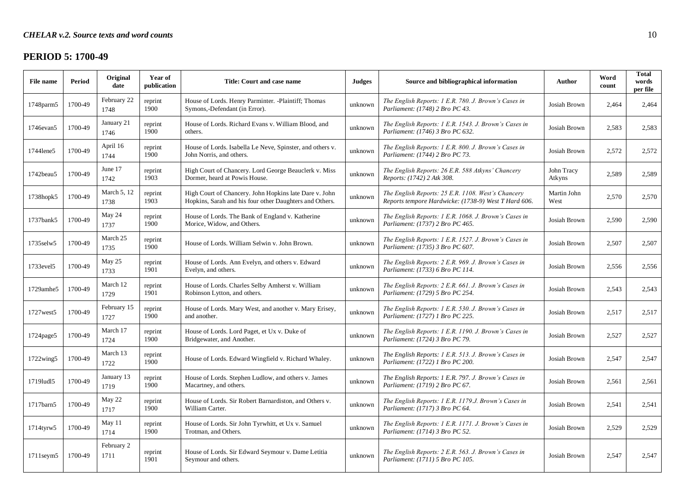# **PERIOD 5: 1700-49**

| File name       | Period  | Original<br>date    | Year of<br>publication | Title: Court and case name                                                                                        | <b>Judges</b> | Source and bibliographical information                                                                     | Author               | Word<br>count | <b>Total</b><br>words<br>per file |
|-----------------|---------|---------------------|------------------------|-------------------------------------------------------------------------------------------------------------------|---------------|------------------------------------------------------------------------------------------------------------|----------------------|---------------|-----------------------------------|
| 1748parm5       | 1700-49 | February 22<br>1748 | reprint<br>1900        | House of Lords. Henry Parminter. -Plaintiff; Thomas<br>Symons,-Defendant (in Error).                              | unknown       | The English Reports: 1 E.R. 780. J. Brown's Cases in<br>Parliament: (1748) 2 Bro PC 43.                    | Josiah Brown         | 2,464         | 2,464                             |
| 1746evan5       | 1700-49 | January 21<br>1746  | reprint<br>1900        | House of Lords. Richard Evans v. William Blood, and<br>others.                                                    | unknown       | The English Reports: 1 E.R. 1543. J. Brown's Cases in<br>Parliament: (1746) 3 Bro PC 632.                  | Josiah Brown         | 2,583         | 2,583                             |
| 1744lene5       | 1700-49 | April 16<br>1744    | reprint<br>1900        | House of Lords. Isabella Le Neve, Spinster, and others v.<br>John Norris, and others.                             | unknown       | The English Reports: 1 E.R. 800. J. Brown's Cases in<br>Parliament: (1744) 2 Bro PC 73.                    | Josiah Brown         | 2,572         | 2,572                             |
| 1742beau5       | 1700-49 | June 17<br>1742     | reprint<br>1903        | High Court of Chancery. Lord George Beauclerk v. Miss<br>Dormer, heard at Powis House.                            | unknown       | The English Reports: 26 E.R. 588 Atkyns' Chancery<br>Reports: (1742) 2 Atk 308.                            | John Tracy<br>Atkyns | 2,589         | 2,589                             |
| 1738hopk5       | 1700-49 | March 5, 12<br>1738 | reprint<br>1903        | High Court of Chancery. John Hopkins late Dare v. John<br>Hopkins, Sarah and his four other Daughters and Others. | unknown       | The English Reports: 25 E.R. 1108. West's Chancery<br>Reports tempore Hardwicke: (1738-9) West T Hard 606. | Martin John<br>West  | 2.570         | 2.570                             |
| 1737bank5       | 1700-49 | May 24<br>1737      | reprint<br>1900        | House of Lords. The Bank of England v. Katherine<br>Morice, Widow, and Others.                                    | unknown       | The English Reports: 1 E.R. 1068. J. Brown's Cases in<br>Parliament: (1737) 2 Bro PC 465.                  | Josiah Brown         | 2.590         | 2.590                             |
| 1735selw5       | 1700-49 | March 25<br>1735    | reprint<br>1900        | House of Lords. William Selwin v. John Brown.                                                                     | unknown       | The English Reports: 1 E.R. 1527. J. Brown's Cases in<br>Parliament: (1735) 3 Bro PC 607.                  | Josiah Brown         | 2,507         | 2,507                             |
| 1733evel5       | 1700-49 | May 25<br>1733      | reprint<br>1901        | House of Lords. Ann Evelyn, and others v. Edward<br>Evelyn, and others.                                           | unknown       | The English Reports: 2 E.R. 969. J. Brown's Cases in<br>Parliament: (1733) 6 Bro PC 114.                   | Josiah Brown         | 2,556         | 2,556                             |
| 1729amhe5       | 1700-49 | March 12<br>1729    | reprint<br>1901        | House of Lords. Charles Selby Amherst v. William<br>Robinson Lytton, and others.                                  | unknown       | The English Reports: 2 E.R. 661. J. Brown's Cases in<br>Parliament: (1729) 5 Bro PC 254.                   | Josiah Brown         | 2,543         | 2,543                             |
| 1727 west 5     | 1700-49 | February 15<br>1727 | reprint<br>1900        | House of Lords. Mary West, and another v. Mary Erisey,<br>and another.                                            | unknown       | The English Reports: 1 E.R. 530. J. Brown's Cases in<br>Parliament: (1727) 1 Bro PC 225.                   | Josiah Brown         | 2,517         | 2,517                             |
| 1724page5       | 1700-49 | March 17<br>1724    | reprint<br>1900        | House of Lords. Lord Paget, et Ux v. Duke of<br>Bridgewater, and Another.                                         | unknown       | The English Reports: 1 E.R. 1190. J. Brown's Cases in<br>Parliament: (1724) 3 Bro PC 79.                   | Josiah Brown         | 2,527         | 2,527                             |
| 1722wing5       | 1700-49 | March 13<br>1722    | reprint<br>1900        | House of Lords. Edward Wingfield v. Richard Whaley.                                                               | unknown       | The English Reports: 1 E.R. 513. J. Brown's Cases in<br>Parliament: (1722) 1 Bro PC 200.                   | Josiah Brown         | 2.547         | 2.547                             |
| 1719lud15       | 1700-49 | January 13<br>1719  | reprint<br>1900        | House of Lords. Stephen Ludlow, and others v. James<br>Macartney, and others.                                     | unknown       | The English Reports: 1 E.R. 797. J. Brown's Cases in<br>Parliament: (1719) 2 Bro PC 67.                    | Josiah Brown         | 2,561         | 2,561                             |
| 1717barn5       | 1700-49 | May 22<br>1717      | reprint<br>1900        | House of Lords. Sir Robert Barnardiston, and Others v.<br>William Carter.                                         | unknown       | The English Reports: 1 E.R. 1179.J. Brown's Cases in<br>Parliament: (1717) 3 Bro PC 64.                    | Josiah Brown         | 2,541         | 2,541                             |
| 1714tyrw5       | 1700-49 | May 11<br>1714      | reprint<br>1900        | House of Lords. Sir John Tyrwhitt, et Ux v. Samuel<br>Trotman, and Others.                                        | unknown       | The English Reports: 1 E.R. 1171. J. Brown's Cases in<br>Parliament: (1714) 3 Bro PC 52.                   | Josiah Brown         | 2,529         | 2,529                             |
| $1711$ seym $5$ | 1700-49 | February 2<br>1711  | reprint<br>1901        | House of Lords. Sir Edward Seymour v. Dame Letitia<br>Seymour and others.                                         | unknown       | The English Reports: 2 E.R. 563. J. Brown's Cases in<br>Parliament: (1711) 5 Bro PC 105.                   | Josiah Brown         | 2,547         | 2,547                             |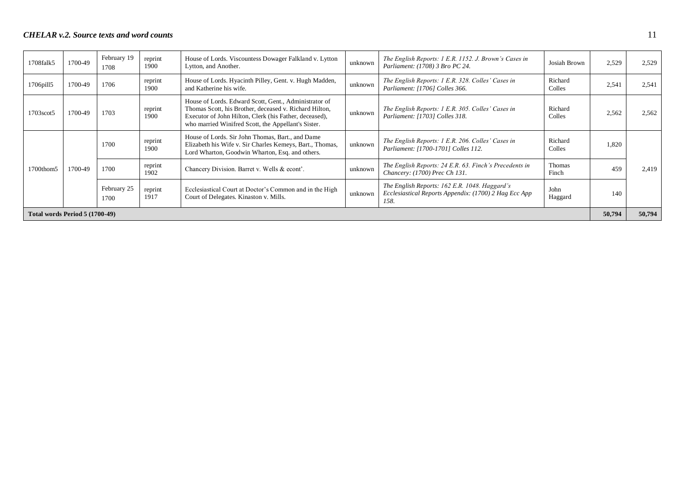| 1708falk5                      | 1700-49 | February 19<br>1708 | reprint<br>1900 | House of Lords. Viscountess Dowager Falkland v. Lytton<br>Lytton, and Another.                                                                                                                                                   | unknown | The English Reports: 1 E.R. 1152. J. Brown's Cases in<br>Parliament: (1708) 3 Bro PC 24.                       | Josiah Brown           | 2,529 | 2,529 |
|--------------------------------|---------|---------------------|-----------------|----------------------------------------------------------------------------------------------------------------------------------------------------------------------------------------------------------------------------------|---------|----------------------------------------------------------------------------------------------------------------|------------------------|-------|-------|
| 1706pill5                      | 1700-49 | 1706                | reprint<br>1900 | House of Lords. Hyacinth Pilley, Gent. v. Hugh Madden,<br>and Katherine his wife.                                                                                                                                                | unknown | The English Reports: 1 E.R. 328. Colles' Cases in<br>Parliament: [1706] Colles 366.                            | Richard<br>Colles      | 2,541 | 2,541 |
| 1703scot5                      | 1700-49 | 1703                | reprint<br>1900 | House of Lords. Edward Scott, Gent., Administrator of<br>Thomas Scott, his Brother, deceased v. Richard Hilton,<br>Executor of John Hilton, Clerk (his Father, deceased),<br>who married Winifred Scott, the Appellant's Sister. | unknown | The English Reports: 1 E.R. 305. Colles' Cases in<br>Parliament: [1703] Colles 318.                            | Richard<br>Colles      | 2,562 | 2,562 |
|                                |         | 1700                | reprint<br>1900 | House of Lords. Sir John Thomas, Bart., and Dame<br>Elizabeth his Wife v. Sir Charles Kemeys, Bart., Thomas,<br>Lord Wharton, Goodwin Wharton, Esq. and others.                                                                  | unknown | The English Reports: 1 E.R. 206. Colles' Cases in<br>Parliament: [1700-1701] Colles 112.                       | Richard<br>Colles      | 1,820 |       |
| 1700thom5                      | 1700-49 | 1700                | reprint<br>1902 | Chancery Division. Barret v. Wells & econt'.                                                                                                                                                                                     | unknown | The English Reports: 24 E.R. 63. Finch's Precedents in<br>Chancery: (1700) Prec Ch 131.                        | <b>Thomas</b><br>Finch | 459   | 2.419 |
|                                |         | February 25<br>1700 | reprint<br>1917 | Ecclesiastical Court at Doctor's Common and in the High<br>Court of Delegates. Kinaston v. Mills.                                                                                                                                | unknown | The English Reports: 162 E.R. 1048. Haggard's<br>Ecclesiastical Reports Appendix: (1700) 2 Hag Ecc App<br>158. | John<br>Haggard        | 140   |       |
| Total words Period 5 (1700-49) |         |                     |                 |                                                                                                                                                                                                                                  |         | 50,794                                                                                                         | 50,794                 |       |       |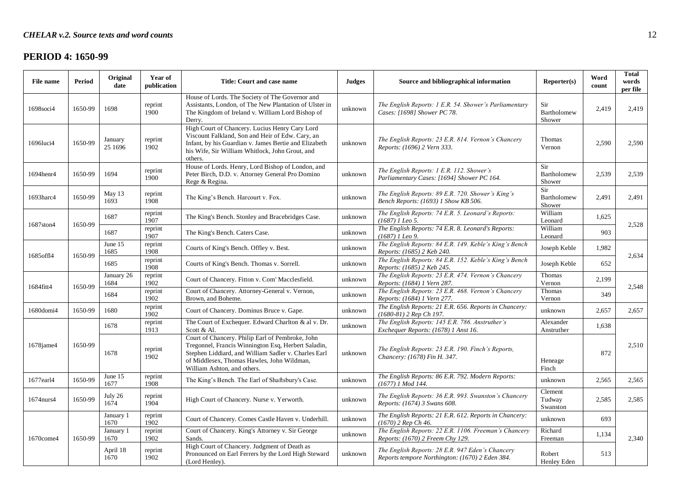# **PERIOD 4: 1650-99**

| File name | <b>Period</b> | Original<br>date   | Year of<br>publication | Title: Court and case name                                                                                                                                                                                                                   | <b>Judges</b> | Source and bibliographical information                                                              | Reporter(s)                   | Word<br>count | <b>Total</b><br>words<br>per file |
|-----------|---------------|--------------------|------------------------|----------------------------------------------------------------------------------------------------------------------------------------------------------------------------------------------------------------------------------------------|---------------|-----------------------------------------------------------------------------------------------------|-------------------------------|---------------|-----------------------------------|
| 1698soci4 | 1650-99       | 1698               | reprint<br>1900        | House of Lords. The Society of The Governor and<br>Assistants, London, of The New Plantation of Ulster in<br>The Kingdom of Ireland v. William Lord Bishop of<br>Derry.                                                                      | unknown       | The English Reports: 1 E.R. 54. Shower's Parliamentary<br>Cases: [1698] Shower PC 78.               | Sir<br>Bartholomew<br>Shower  | 2,419         | 2,419                             |
| 1696luci4 | 1650-99       | January<br>25 1696 | reprint<br>1902        | High Court of Chancery. Lucius Henry Cary Lord<br>Viscount Falkland, Son and Heir of Edw. Cary, an<br>Infant, by his Guardian v. James Bertie and Elizabeth<br>his Wife, Sir William Whitlock, John Grout, and<br>others.                    | unknown       | The English Reports: 23 E.R. 814. Vernon's Chancery<br>Reports: (1696) 2 Vern 333.                  | Thomas<br>Vernon              | 2,590         | 2,590                             |
| 1694henr4 | 1650-99       | 1694               | reprint<br>1900        | House of Lords. Henry, Lord Bishop of London, and<br>Peter Birch, D.D. v. Attorney General Pro Domino<br>Rege & Regina.                                                                                                                      | unknown       | The English Reports: 1 E.R. 112. Shower's<br>Parliamentary Cases: [1694] Shower PC 164.             | Sir<br>Bartholomew<br>Shower  | 2,539         | 2,539                             |
| 1693harc4 | 1650-99       | May 13<br>1693     | reprint<br>1908        | The King's Bench. Harcourt v. Fox.                                                                                                                                                                                                           | unknown       | The English Reports: 89 E.R. 720. Shower's King's<br>Bench Reports: (1693) 1 Show KB 506.           | Sir<br>Bartholomew<br>Shower  | 2,491         | 2,491                             |
|           | 1650-99       | 1687               | reprint<br>1907        | The King's Bench. Stonley and Bracebridges Case.                                                                                                                                                                                             | unknown       | The English Reports: 74 E.R. 5. Leonard's Reports:<br>$(1687)$ 1 Leo 5.                             | William<br>Leonard            | 1,625         |                                   |
| 1687ston4 |               | 1687               | reprint<br>1907        | The King's Bench. Caters Case.                                                                                                                                                                                                               | unknown       | The English Reports: 74 E.R. 8. Leonard's Reports:<br>(1687) 1 Leo 9.                               | William<br>Leonard            | 903           | 2,528                             |
|           |               | June 15<br>1685    | reprint<br>1908        | Courts of King's Bench. Offley v. Best.                                                                                                                                                                                                      | unknown       | The English Reports: 84 E.R. 149. Keble's King's Bench<br>Reports: (1685) 2 Keb 240.                | Joseph Keble                  | 1,982         |                                   |
| 1685off14 | 1650-99       | 1685               | reprint<br>1908        | Courts of King's Bench. Thomas v. Sorrell.                                                                                                                                                                                                   | unknown       | The English Reports: 84 E.R. 152. Keble's King's Bench<br>Reports: (1685) 2 Keb 245.                | Joseph Keble                  | 652           | 2,634                             |
|           |               | January 26<br>1684 | reprint<br>1902        | Court of Chancery. Fitton v. Com' Macclesfield.                                                                                                                                                                                              | unknown       | The English Reports: 23 E.R. 474. Vernon's Chancery<br>Reports: (1684) 1 Vern 287.                  | Thomas<br>Vernon              | 2,199         |                                   |
| 1684fitt4 | 1650-99       | 1684               | reprint<br>1902        | Court of Chancery. Attorney-General v. Vernon,<br>Brown, and Boheme.                                                                                                                                                                         | unknown       | The English Reports: 23 E.R. 468. Vernon's Chancery<br>Reports: (1684) 1 Vern 277.                  | Thomas<br>Vernon              | 349           | 2,548                             |
| 1680domi4 | 1650-99       | 1680               | reprint<br>1902        | Court of Chancery. Dominus Bruce v. Gape.                                                                                                                                                                                                    | unknown       | The English Reports: 21 E.R. 656. Reports in Chancery:<br>(1680-81) 2 Rep Ch 197.                   | unknown                       | 2,657         | 2,657                             |
|           |               | 1678               | reprint<br>1913        | The Court of Exchequer. Edward Charlton & al v. Dr.<br>Scott & Al.                                                                                                                                                                           | unknown       | The English Reports: 145 E.R. 786. Anstruther's<br>Exchequer Reports: (1678) 1 Anst 16.             | Alexander<br>Anstruther       | 1,638         |                                   |
| 1678jame4 | 1650-99       | 1678               | reprint<br>1902        | Court of Chancery. Philip Earl of Pembroke, John<br>Tregonnel, Francis Winnington Esq, Herbert Saladin,<br>Stephen Liddiard, and William Sadler v. Charles Earl<br>of Middlesex, Thomas Hawles, John Wildman,<br>William Ashton, and others. | unknown       | The English Reports: 23 E.R. 190. Finch's Reports,<br>Chancery: (1678) Fin H. 347.                  | Heneage<br>Finch              | 872           | 2,510                             |
| 1677earl4 | 1650-99       | June 15<br>1677    | reprint<br>1908        | The King's Bench. The Earl of Shaftsbury's Case.                                                                                                                                                                                             | unknown       | The English Reports: 86 E.R. 792. Modern Reports:<br>$(1677)$ 1 Mod 144.                            | unknown                       | 2,565         | 2,565                             |
| 1674nurs4 | 1650-99       | July 26<br>1674    | reprint<br>1904        | High Court of Chancery. Nurse v. Yerworth.                                                                                                                                                                                                   | unknown       | The English Reports: 36 E.R. 993. Swanston's Chancery<br>Reports: (1674) 3 Swans 608.               | Clement<br>Tudway<br>Swanston | 2,585         | 2,585                             |
|           |               | January 1<br>1670  | reprint<br>1902        | Court of Chancery. Comes Castle Haven v. Underhill.                                                                                                                                                                                          | unknown       | The English Reports: 21 E.R. 612. Reports in Chancery:<br>(1670) 2 Rep Ch 46.                       | unknown                       | 693           |                                   |
| 1670come4 | 1650-99       | January 1<br>1670  | reprint<br>1902        | Court of Chancery. King's Attorney v. Sir George<br>Sands.                                                                                                                                                                                   | unknown       | The English Reports: 22 E.R. 1106. Freeman's Chancery<br>Reports: (1670) 2 Freem Chy 129.           | Richard<br>Freeman            | 1,134         | 2,340                             |
|           |               | April 18<br>1670   | reprint<br>1902        | High Court of Chancery. Judgment of Death as<br>Pronounced on Earl Ferrers by the Lord High Steward<br>(Lord Henley).                                                                                                                        | unknown       | The English Reports: 28 E.R. 947 Eden's Chancery<br>Reports tempore Northington: (1670) 2 Eden 384. | Robert<br>Henley Eden         | 513           |                                   |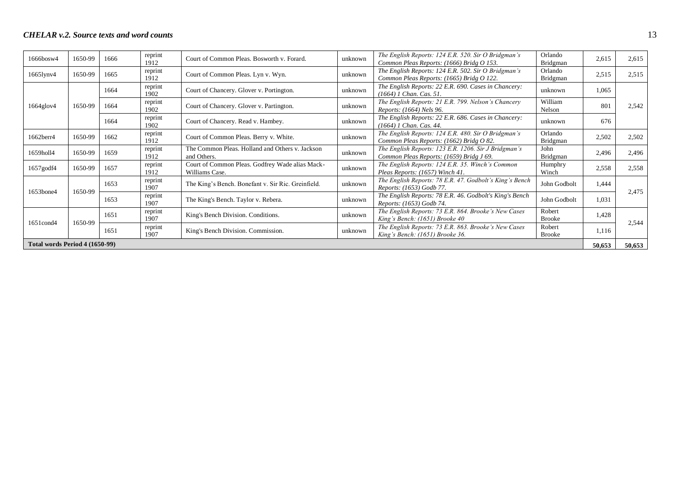| $1666$ bosw $4$                | 1650-99 | 1666 | reprint<br>1912 | Court of Common Pleas. Bosworth v. Forard.                        | unknown | The English Reports: 124 E.R. 520. Sir O Bridgman's<br>Common Pleas Reports: (1666) Bridg O 153. | Orlando<br><b>Bridgman</b> | 2,615  | 2,615  |
|--------------------------------|---------|------|-----------------|-------------------------------------------------------------------|---------|--------------------------------------------------------------------------------------------------|----------------------------|--------|--------|
| 1665lynv4                      | 1650-99 | 1665 | reprint<br>1912 | Court of Common Pleas. Lyn v. Wyn.                                | unknown | The English Reports: 124 E.R. 502. Sir O Bridgman's<br>Common Pleas Reports: (1665) Bridg O 122. | Orlando<br>Bridgman        | 2,515  | 2,515  |
|                                |         | 1664 | reprint<br>1902 | Court of Chancery. Glover v. Portington.                          | unknown | The English Reports: 22 E.R. 690. Cases in Chancery:<br>(1664) 1 Chan. Cas. 51.                  | unknown                    | 1,065  |        |
| 1664glov4                      | 1650-99 | 1664 | reprint<br>1902 | Court of Chancery. Glover v. Partington.                          | unknown | The English Reports: 21 E.R. 799. Nelson's Chancery<br>Reports: (1664) Nels 96.                  | William<br>Nelson          | 801    | 2,542  |
|                                |         | 1664 | reprint<br>1902 | Court of Chancery. Read v. Hambey.                                | unknown | The English Reports: 22 E.R. 686. Cases in Chancery:<br>(1664) 1 Chan. Cas. 44.                  | unknown                    | 676    |        |
| 1662berr4                      | 1650-99 | 1662 | reprint<br>1912 | Court of Common Pleas. Berry v. White.                            | unknown | The English Reports: 124 E.R. 480. Sir O Bridgman's<br>Common Pleas Reports: (1662) Bridg O 82.  | Orlando<br>Bridgman        | 2,502  | 2,502  |
| 1659holl4                      | 1650-99 | 1659 | reprint<br>1912 | The Common Pleas. Holland and Others v. Jackson<br>and Others.    | unknown | The English Reports: 123 E.R. 1206. Sir J Bridgman's<br>Common Pleas Reports: (1659) Bridg J 69. | John<br>Bridgman           | 2,496  | 2,496  |
| 1657godf4                      | 1650-99 | 1657 | reprint<br>1912 | Court of Common Pleas. Godfrey Wade alias Mack-<br>Williams Case. | unknown | The English Reports: 124 E.R. 35. Winch's Common<br>Pleas Reports: (1657) Winch 41.              | Humphry<br>Winch           | 2,558  | 2,558  |
| 1653bone4                      | 1650-99 | 1653 | reprint<br>1907 | The King's Bench. Bonefant v. Sir Ric. Greinfield.                | unknown | The English Reports: 78 E.R. 47. Godbolt's King's Bench<br>Reports: (1653) Godb 77.              | John Godbolt               | 1,444  | 2,475  |
|                                |         | 1653 | reprint<br>1907 | The King's Bench. Taylor v. Rebera.                               | unknown | The English Reports: 78 E.R. 46. Godbolt's King's Bench<br>Reports: (1653) Godb 74.              | John Godbolt               | 1,031  |        |
|                                | 1650-99 | 1651 | reprint<br>1907 | King's Bench Division. Conditions.                                | unknown | The English Reports: 73 E.R. 864. Brooke's New Cases<br>King's Bench: (1651) Brooke 40           | Robert<br><b>Brooke</b>    | 1,428  |        |
| 1651cond4                      |         | 1651 | reprint<br>1907 | King's Bench Division. Commission.                                | unknown | The English Reports: 73 E.R. 863. Brooke's New Cases<br>King's Bench: (1651) Brooke 36.          | Robert<br><b>Brooke</b>    | 1,116  | 2,544  |
| Total words Period 4 (1650-99) |         |      |                 |                                                                   |         |                                                                                                  |                            | 50,653 | 50,653 |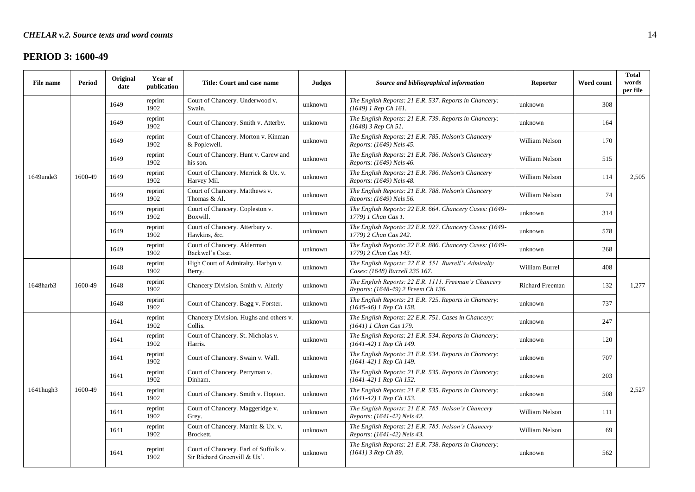### **PERIOD 3: 1600-49**

| <b>File name</b> | <b>Period</b> | Original<br>date | Year of<br>publication | Title: Court and case name                                            | <b>Judges</b> | Source and bibliographical information                                                      | Reporter               | Word count | <b>Total</b><br>words<br>per file |
|------------------|---------------|------------------|------------------------|-----------------------------------------------------------------------|---------------|---------------------------------------------------------------------------------------------|------------------------|------------|-----------------------------------|
|                  |               | 1649             | reprint<br>1902        | Court of Chancery. Underwood v.<br>Swain.                             | unknown       | The English Reports: 21 E.R. 537. Reports in Chancery:<br>$(1649)$ 1 Rep Ch 161.            | unknown                | 308        |                                   |
|                  |               | 1649             | reprint<br>1902        | Court of Chancery. Smith v. Atterby.                                  | unknown       | The English Reports: 21 E.R. 739. Reports in Chancery:<br>(1648) 3 Rep Ch 51.               | unknown                | 164        |                                   |
|                  |               | 1649             | reprint<br>1902        | Court of Chancery. Morton v. Kinman<br>& Poplewell.                   | unknown       | The English Reports: 21 E.R. 785. Nelson's Chancery<br>Reports: (1649) Nels 45.             | William Nelson         | 170        |                                   |
|                  |               | 1649             | reprint<br>1902        | Court of Chancery. Hunt v. Carew and<br>his son.                      | unknown       | The English Reports: 21 E.R. 786. Nelson's Chancery<br>Reports: (1649) Nels 46.             | William Nelson         | 515        |                                   |
| 1649unde3        | 1600-49       | 1649             | reprint<br>1902        | Court of Chancery. Merrick & Ux. v.<br>Harvey Mil.                    | unknown       | The English Reports: 21 E.R. 786. Nelson's Chancery<br>Reports: (1649) Nels 48.             | William Nelson         | 114        | 2,505                             |
|                  |               | 1649             | reprint<br>1902        | Court of Chancery. Matthews v.<br>Thomas & Al.                        | unknown       | The English Reports: 21 E.R. 788. Nelson's Chancery<br>Reports: (1649) Nels 56.             | William Nelson         | 74         |                                   |
|                  |               | 1649             | reprint<br>1902        | Court of Chancery. Copleston v.<br>Boxwill.                           | unknown       | The English Reports: 22 E.R. 664. Chancery Cases: (1649-<br>1779) 1 Chan Cas 1.             | unknown                | 314        |                                   |
|                  |               | 1649             | reprint<br>1902        | Court of Chancery. Atterbury v.<br>Hawkins, &c.                       | unknown       | The English Reports: 22 E.R. 927. Chancery Cases: (1649-<br>1779) 2 Chan Cas 242.           | unknown                | 578        |                                   |
|                  |               | 1649             | reprint<br>1902        | Court of Chancery. Alderman<br>Backwel's Case.                        | unknown       | The English Reports: 22 E.R. 886. Chancery Cases: (1649-<br>1779) 2 Chan Cas 143.           | unknown                | 268        |                                   |
|                  |               | 1648             | reprint<br>1902        | High Court of Admiralty. Harbyn v.<br>Berry.                          | unknown       | The English Reports: 22 E.R. 551. Burrell's Admiralty<br>Cases: (1648) Burrell 235 167.     | William Burrel         | 408        |                                   |
| 1648harb3        | 1600-49       | 1648             | reprint<br>1902        | Chancery Division. Smith v. Alterly                                   | unknown       | The English Reports: 22 E.R. 1111. Freeman's Chancery<br>Reports: (1648-49) 2 Freem Ch 136. | <b>Richard Freeman</b> | 132        | 1,277                             |
|                  |               | 1648             | reprint<br>1902        | Court of Chancery. Bagg v. Forster.                                   | unknown       | The English Reports: 21 E.R. 725. Reports in Chancery:<br>(1645-46) 1 Rep Ch 158.           | unknown                | 737        |                                   |
|                  |               | 1641             | reprint<br>1902        | Chancery Division. Hughs and others v.<br>Collis.                     | unknown       | The English Reports: 22 E.R. 751. Cases in Chancery:<br>(1641) 1 Chan Cas 179.              | unknown                | 247        |                                   |
|                  |               | 1641             | reprint<br>1902        | Court of Chancery. St. Nicholas v.<br>Harris.                         | unknown       | The English Reports: 21 E.R. 534. Reports in Chancery:<br>(1641-42) 1 Rep Ch 149.           | unknown                | 120        |                                   |
|                  |               | 1641             | reprint<br>1902        | Court of Chancery. Swain v. Wall.                                     | unknown       | The English Reports: 21 E.R. 534. Reports in Chancery:<br>(1641-42) 1 Rep Ch 149.           | unknown                | 707        |                                   |
|                  |               | 1641             | reprint<br>1902        | Court of Chancery. Perryman v.<br>Dinham.                             | unknown       | The English Reports: 21 E.R. 535. Reports in Chancery:<br>$(1641-42)$ 1 Rep Ch 152.         | unknown                | 203        |                                   |
| 1641hugh3        | 1600-49       | 1641             | reprint<br>1902        | Court of Chancery. Smith v. Hopton.                                   | unknown       | The English Reports: 21 E.R. 535. Reports in Chancery:<br>(1641-42) 1 Rep Ch 153.           | unknown                | 508        | 2,527                             |
|                  |               | 1641             | reprint<br>1902        | Court of Chancery. Maggeridge v.<br>Grey.                             | unknown       | The English Reports: 21 E.R. 785. Nelson's Chancery<br>Reports: (1641-42) Nels 42.          | William Nelson         | 111        |                                   |
|                  |               | 1641             | reprint<br>1902        | Court of Chancery. Martin & Ux. v.<br>Brockett.                       | unknown       | The English Reports: 21 E.R. 785. Nelson's Chancery<br>Reports: (1641-42) Nels 43.          | William Nelson         | 69         |                                   |
|                  |               | 1641             | reprint<br>1902        | Court of Chancery. Earl of Suffolk v.<br>Sir Richard Greenvill & Ux'. | unknown       | The English Reports: 21 E.R. 738. Reports in Chancery:<br>$(1641)$ 3 Rep Ch 89.             | unknown                | 562        |                                   |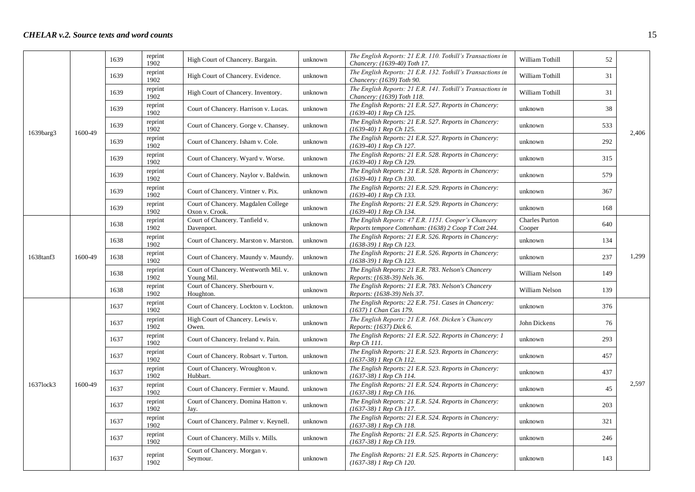|           |         | 1639 | reprint<br>1902 | High Court of Chancery. Bargain.                      | unknown | The English Reports: 21 E.R. 110. Tothill's Transactions in<br>Chancery: (1639-40) Toth 17.                  | William Tothill                 | 52  |       |
|-----------|---------|------|-----------------|-------------------------------------------------------|---------|--------------------------------------------------------------------------------------------------------------|---------------------------------|-----|-------|
|           |         | 1639 | reprint<br>1902 | High Court of Chancery. Evidence.                     | unknown | The English Reports: 21 E.R. 132. Tothill's Transactions in<br>Chancery: (1639) Toth 90.                     | William Tothill                 | 31  |       |
|           |         | 1639 | reprint<br>1902 | High Court of Chancery. Inventory.                    | unknown | The English Reports: 21 E.R. 141. Tothill's Transactions in<br>Chancery: (1639) Toth 118.                    | William Tothill                 | 31  |       |
|           |         | 1639 | reprint<br>1902 | Court of Chancery. Harrison v. Lucas.                 | unknown | The English Reports: 21 E.R. 527. Reports in Chancery:<br>(1639-40) 1 Rep Ch 125.                            | unknown                         | 38  |       |
|           |         | 1639 | reprint<br>1902 | Court of Chancery. Gorge v. Chansey.                  | unknown | The English Reports: 21 E.R. 527. Reports in Chancery:<br>(1639-40) 1 Rep Ch 125.                            | unknown                         | 533 |       |
| 1639barg3 | 1600-49 | 1639 | reprint<br>1902 | Court of Chancery. Isham v. Cole.                     | unknown | The English Reports: 21 E.R. 527. Reports in Chancery:<br>(1639-40) 1 Rep Ch 127.                            | unknown                         | 292 | 2,406 |
|           |         | 1639 | reprint<br>1902 | Court of Chancery. Wyard v. Worse.                    | unknown | The English Reports: 21 E.R. 528. Reports in Chancery:<br>(1639-40) 1 Rep Ch 129.                            | unknown                         | 315 |       |
|           |         | 1639 | reprint<br>1902 | Court of Chancery. Naylor v. Baldwin.                 | unknown | The English Reports: 21 E.R. 528. Reports in Chancery:<br>(1639-40) 1 Rep Ch 130.                            | unknown                         | 579 |       |
|           |         | 1639 | reprint<br>1902 | Court of Chancery. Vintner v. Pix.                    | unknown | The English Reports: 21 E.R. 529. Reports in Chancery:<br>(1639-40) 1 Rep Ch 133.                            | unknown                         | 367 |       |
|           |         | 1639 | reprint<br>1902 | Court of Chancery. Magdalen College<br>Oxon v. Crook. | unknown | The English Reports: 21 E.R. 529. Reports in Chancery:<br>(1639-40) 1 Rep Ch 134.                            | unknown                         | 168 |       |
|           |         | 1638 | reprint<br>1902 | Court of Chancery. Tanfield v.<br>Davenport.          | unknown | The English Reports: 47 E.R. 1151. Cooper's Chancery<br>Reports tempore Cottenham: (1638) 2 Coop T Cott 244. | <b>Charles Purton</b><br>Cooper | 640 |       |
|           |         | 1638 | reprint<br>1902 | Court of Chancery. Marston v. Marston.                | unknown | The English Reports: 21 E.R. 526. Reports in Chancery:<br>(1638-39) 1 Rep Ch 123.                            | unknown                         | 134 |       |
| 1638tanf3 | 1600-49 | 1638 | reprint<br>1902 | Court of Chancery. Maundy v. Maundy.                  | unknown | The English Reports: 21 E.R. 526. Reports in Chancery:<br>(1638-39) 1 Rep Ch 123.                            | unknown                         | 237 | 1,299 |
|           |         | 1638 | reprint<br>1902 | Court of Chancery. Wentworth Mil. v.<br>Young Mil.    | unknown | The English Reports: 21 E.R. 783. Nelson's Chancery<br>Reports: (1638-39) Nels 36.                           | William Nelson                  | 149 |       |
|           |         | 1638 | reprint<br>1902 | Court of Chancery. Sherbourn v.<br>Houghton.          | unknown | The English Reports: 21 E.R. 783. Nelson's Chancery<br>Reports: (1638-39) Nels 37.                           | William Nelson                  | 139 |       |
|           |         | 1637 | reprint<br>1902 | Court of Chancery. Lockton v. Lockton.                | unknown | The English Reports: 22 E.R. 751. Cases in Chancery:<br>(1637) 1 Chan Cas 179.                               | unknown                         | 376 |       |
|           |         | 1637 | reprint<br>1902 | High Court of Chancery. Lewis v.<br>Owen.             | unknown | The English Reports: 21 E.R. 168. Dicken's Chancery<br>Reports: (1637) Dick 6.                               | John Dickens                    | 76  |       |
|           |         | 1637 | reprint<br>1902 | Court of Chancery. Ireland v. Pain.                   | unknown | The English Reports: 21 E.R. 522. Reports in Chancery: 1<br>Rep Ch 111.                                      | unknown                         | 293 |       |
|           |         | 1637 | reprint<br>1902 | Court of Chancery. Robsart v. Turton.                 | unknown | The English Reports: 21 E.R. 523. Reports in Chancery:<br>(1637-38) 1 Rep Ch 112.                            | unknown                         | 457 |       |
|           |         | 1637 | reprint<br>1902 | Court of Chancery. Wroughton v.<br>Hubbart.           | unknown | The English Reports: 21 E.R. 523. Reports in Chancery:<br>(1637-38) 1 Rep Ch 114.                            | unknown                         | 437 |       |
| 1637lock3 | 1600-49 | 1637 | reprint<br>1902 | Court of Chancery. Fermier v. Maund.                  | unknown | The English Reports: 21 E.R. 524. Reports in Chancery:<br>(1637-38) 1 Rep Ch 116.                            | unknown                         | 45  | 2,597 |
|           |         | 1637 | reprint<br>1902 | Court of Chancery. Domina Hatton v.<br>Jay.           | unknown | The English Reports: 21 E.R. 524. Reports in Chancery:<br>(1637-38) 1 Rep Ch 117.                            | unknown                         | 203 |       |
|           |         | 1637 | reprint<br>1902 | Court of Chancery. Palmer v. Keynell.                 | unknown | The English Reports: 21 E.R. 524. Reports in Chancery:<br>(1637-38) 1 Rep Ch 118.                            | unknown                         | 321 |       |
|           |         | 1637 | reprint<br>1902 | Court of Chancery. Mills v. Mills.                    | unknown | The English Reports: 21 E.R. 525. Reports in Chancery:<br>(1637-38) 1 Rep Ch 119.                            | unknown                         | 246 |       |
|           |         | 1637 | reprint<br>1902 | Court of Chancery. Morgan v.<br>Seymour.              | unknown | The English Reports: 21 E.R. 525. Reports in Chancery:<br>$(1637-38)$ 1 Rep Ch 120.                          | unknown                         | 143 |       |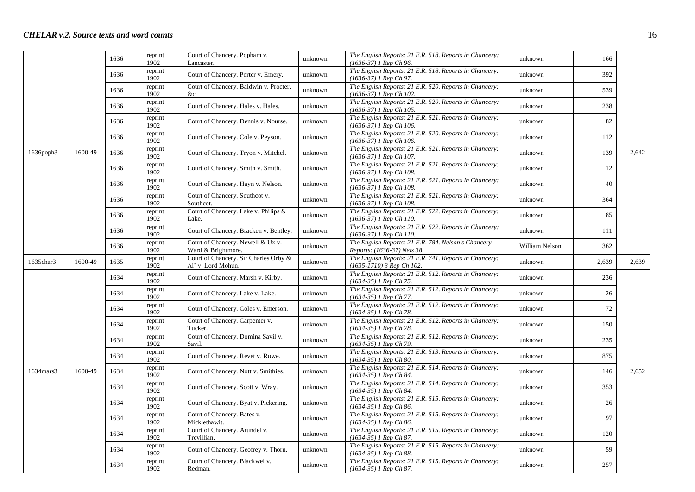|           |         | 1636 | reprint<br>1902 | Court of Chancery. Popham v.<br>Lancaster.                  | unknown | The English Reports: 21 E.R. 518. Reports in Chancery:<br>(1636-37) 1 Rep Ch 96.      | unknown        | 166   |       |
|-----------|---------|------|-----------------|-------------------------------------------------------------|---------|---------------------------------------------------------------------------------------|----------------|-------|-------|
|           |         | 1636 | reprint<br>1902 | Court of Chancery. Porter v. Emery.                         | unknown | The English Reports: 21 E.R. 518. Reports in Chancery:<br>(1636-37) 1 Rep Ch 97.      | unknown        | 392   |       |
|           |         | 1636 | reprint<br>1902 | Court of Chancery. Baldwin v. Procter,<br>&c.               | unknown | The English Reports: 21 E.R. 520. Reports in Chancery:<br>(1636-37) 1 Rep Ch 102.     | unknown        | 539   |       |
|           |         | 1636 | reprint<br>1902 | Court of Chancery. Hales v. Hales.                          | unknown | The English Reports: 21 E.R. 520. Reports in Chancery:<br>$(1636-37)$ 1 Rep Ch 105.   | unknown        | 238   |       |
|           |         | 1636 | reprint<br>1902 | Court of Chancery. Dennis v. Nourse.                        | unknown | The English Reports: 21 E.R. 521. Reports in Chancery:<br>(1636-37) 1 Rep Ch 106.     | unknown        | 82    |       |
|           |         | 1636 | reprint<br>1902 | Court of Chancery. Cole v. Peyson.                          | unknown | The English Reports: 21 E.R. 520. Reports in Chancery:<br>$(1636-37)$ 1 Rep Ch 106.   | unknown        | 112   |       |
| 1636poph3 | 1600-49 | 1636 | reprint<br>1902 | Court of Chancery. Tryon v. Mitchel.                        | unknown | The English Reports: 21 E.R. 521. Reports in Chancery:<br>$(1636-37)$ 1 Rep Ch 107.   | unknown        | 139   | 2,642 |
|           |         | 1636 | reprint<br>1902 | Court of Chancery. Smith v. Smith.                          | unknown | The English Reports: 21 E.R. 521. Reports in Chancery:<br>(1636-37) 1 Rep Ch 108.     | unknown        | 12    |       |
|           |         | 1636 | reprint<br>1902 | Court of Chancery. Hayn v. Nelson.                          | unknown | The English Reports: 21 E.R. 521. Reports in Chancery:<br>(1636-37) 1 Rep Ch 108.     | unknown        | 40    |       |
|           |         | 1636 | reprint<br>1902 | Court of Chancery. Southcot v.<br>Southcot.                 | unknown | The English Reports: 21 E.R. 521. Reports in Chancery:<br>$(1636-37)$ 1 Rep Ch 108.   | unknown        | 364   |       |
|           |         | 1636 | reprint<br>1902 | Court of Chancery. Lake v. Philips &<br>Lake.               | unknown | The English Reports: 21 E.R. 522. Reports in Chancery:<br>(1636-37) 1 Rep Ch 110.     | unknown        | 85    |       |
|           |         | 1636 | reprint<br>1902 | Court of Chancery. Bracken v. Bentley.                      | unknown | The English Reports: 21 E.R. 522. Reports in Chancery:<br>(1636-37) 1 Rep Ch 110.     | unknown        | 111   |       |
|           |         | 1636 | reprint<br>1902 | Court of Chancery. Newell & Ux v.<br>Ward & Brightmore.     | unknown | The English Reports: 21 E.R. 784. Nelson's Chancery<br>Reports: (1636-37) Nels 38.    | William Nelson | 362   |       |
| 1635char3 | 1600-49 | 1635 | reprint<br>1902 | Court of Chancery. Sir Charles Orby &<br>Al' v. Lord Mohun. | unknown | The English Reports: 21 E.R. 741. Reports in Chancery:<br>$(1635-1710)$ 3 Rep Ch 102. | unknown        | 2,639 | 2,639 |
|           |         | 1634 | reprint<br>1902 | Court of Chancery. Marsh v. Kirby.                          | unknown | The English Reports: 21 E.R. 512. Reports in Chancery:<br>(1634-35) 1 Rep Ch 75.      | unknown        | 236   |       |
|           |         | 1634 | reprint<br>1902 | Court of Chancery. Lake v. Lake.                            | unknown | The English Reports: 21 E.R. 512. Reports in Chancery:<br>(1634-35) 1 Rep Ch 77.      | unknown        | 26    |       |
|           |         | 1634 | reprint<br>1902 | Court of Chancery. Coles v. Emerson.                        | unknown | The English Reports: 21 E.R. 512. Reports in Chancery:<br>(1634-35) 1 Rep Ch 78.      | unknown        | 72    |       |
|           |         | 1634 | reprint<br>1902 | Court of Chancery. Carpenter v.<br>Tucker.                  | unknown | The English Reports: 21 E.R. 512. Reports in Chancery:<br>$(1634-35)$ 1 Rep Ch 78.    | unknown        | 150   |       |
|           |         | 1634 | reprint<br>1902 | Court of Chancery. Domina Savil v.<br>Savil.                | unknown | The English Reports: 21 E.R. 512. Reports in Chancery:<br>(1634-35) 1 Rep Ch 79.      | unknown        | 235   |       |
|           |         | 1634 | reprint<br>1902 | Court of Chancery. Revet v. Rowe.                           | unknown | The English Reports: 21 E.R. 513. Reports in Chancery:<br>(1634-35) 1 Rep Ch 80.      | unknown        | 875   |       |
| 1634mars3 | 1600-49 | 1634 | reprint<br>1902 | Court of Chancery. Nott v. Smithies.                        | unknown | The English Reports: 21 E.R. 514. Reports in Chancery:<br>(1634-35) 1 Rep Ch 84.      | unknown        | 146   | 2,652 |
|           |         | 1634 | reprint<br>1902 | Court of Chancery. Scott v. Wray.                           | unknown | The English Reports: 21 E.R. 514. Reports in Chancery:<br>(1634-35) 1 Rep Ch 84.      | unknown        | 353   |       |
|           |         | 1634 | reprint<br>1902 | Court of Chancery. Byat v. Pickering.                       | unknown | The English Reports: 21 E.R. 515. Reports in Chancery:<br>$(1634-35)$ 1 Rep Ch 86.    | unknown        | 26    |       |
|           |         | 1634 | reprint<br>1902 | Court of Chancery. Bates v.<br>Micklethawit.                | unknown | The English Reports: 21 E.R. 515. Reports in Chancery:<br>(1634-35) 1 Rep Ch 86.      | unknown        | 97    |       |
|           |         | 1634 | reprint<br>1902 | Court of Chancery. Arundel v.<br>Trevillian.                | unknown | The English Reports: 21 E.R. 515. Reports in Chancery:<br>$(1634-35)$ 1 Rep Ch 87.    | unknown        | 120   |       |
|           |         | 1634 | reprint<br>1902 | Court of Chancery. Geofrey v. Thorn.                        | unknown | The English Reports: 21 E.R. 515. Reports in Chancery:<br>(1634-35) 1 Rep Ch 88.      | unknown        | 59    |       |
|           |         | 1634 | reprint<br>1902 | Court of Chancery. Blackwel v.<br>Redman.                   | unknown | The English Reports: 21 E.R. 515. Reports in Chancery:<br>$(1634-35)$ 1 Rep Ch 87.    | unknown        | 257   |       |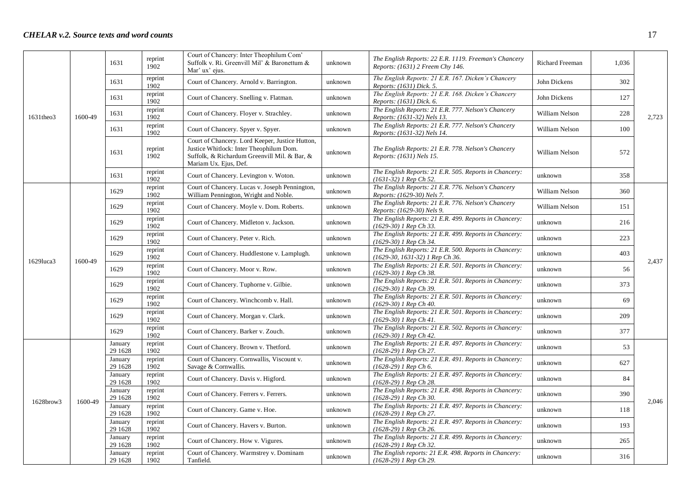|              |         | 1631                | reprint<br>1902 | Court of Chancery: Inter Theophilum Com'<br>Suffolk v. Ri. Greenvill Mil' & Baronettum &<br>Mar' ux' eius.                                                          | unknown | The English Reports: 22 E.R. 1119. Freeman's Chancery<br>Reports: (1631) 2 Freem Chy 146. | <b>Richard Freeman</b> | 1,036 |       |
|--------------|---------|---------------------|-----------------|---------------------------------------------------------------------------------------------------------------------------------------------------------------------|---------|-------------------------------------------------------------------------------------------|------------------------|-------|-------|
|              |         | 1631                | reprint<br>1902 | Court of Chancery. Arnold v. Barrington.                                                                                                                            | unknown | The English Reports: 21 E.R. 167. Dicken's Chancery<br>Reports: (1631) Dick. 5.           | John Dickens           | 302   |       |
|              |         | 1631                | reprint<br>1902 | Court of Chancery. Snelling v. Flatman.                                                                                                                             | unknown | The English Reports: 21 E.R. 168. Dicken's Chancery<br>Reports: (1631) Dick. 6.           | John Dickens           | 127   |       |
| 1631theo3    | 1600-49 | 1631                | reprint<br>1902 | Court of Chancery. Floyer v. Strachley.                                                                                                                             | unknown | The English Reports: 21 E.R. 777. Nelson's Chancery<br>Reports: (1631-32) Nels 13.        | William Nelson         | 228   | 2,723 |
|              |         | 1631                | reprint<br>1902 | Court of Chancery. Spyer v. Spyer.                                                                                                                                  | unknown | The English Reports: 21 E.R. 777. Nelson's Chancery<br>Reports: (1631-32) Nels 14.        | William Nelson         | 100   |       |
|              |         | 1631                | reprint<br>1902 | Court of Chancery. Lord Keeper, Justice Hutton,<br>Justice Whitlock: Inter Theophilum Dom.<br>Suffolk, & Richardum Greenvill Mil. & Bar, &<br>Mariam Ux. Ejus, Def. | unknown | The English Reports: 21 E.R. 778. Nelson's Chancery<br>Reports: (1631) Nels 15.           | William Nelson         | 572   |       |
|              |         | 1631                | reprint<br>1902 | Court of Chancery. Levington v. Woton.                                                                                                                              | unknown | The English Reports: 21 E.R. 505. Reports in Chancery:<br>$(1631-32)$ 1 Rep Ch 52.        | unknown                | 358   |       |
|              |         | 1629                | reprint<br>1902 | Court of Chancery. Lucas v. Joseph Pennington,<br>William Pennington, Wright and Noble.                                                                             | unknown | The English Reports: 21 E.R. 776. Nelson's Chancery<br>Reports: (1629-30) Nels 7.         | William Nelson         | 360   |       |
|              |         | 1629                | reprint<br>1902 | Court of Chancery. Moyle v. Dom. Roberts.                                                                                                                           | unknown | The English Reports: 21 E.R. 776. Nelson's Chancery<br>Reports: (1629-30) Nels 9.         | William Nelson         | 151   |       |
|              |         | 1629                | reprint<br>1902 | Court of Chancery. Midleton v. Jackson.                                                                                                                             | unknown | The English Reports: 21 E.R. 499. Reports in Chancery:<br>$(1629-30)$ 1 Rep Ch 33.        | unknown                | 216   |       |
|              | 1600-49 | 1629                | reprint<br>1902 | Court of Chancery. Peter v. Rich.                                                                                                                                   | unknown | The English Reports: 21 E.R. 499. Reports in Chancery:<br>(1629-30) 1 Rep Ch 34.          | unknown                | 223   |       |
| $1629$ luca3 |         | 1629                | reprint<br>1902 | Court of Chancery. Huddlestone v. Lamplugh.                                                                                                                         | unknown | The English Reports: 21 E.R. 500. Reports in Chancery:<br>(1629-30, 1631-32) 1 Rep Ch 36. | unknown                | 403   | 2.437 |
|              |         | 1629                | reprint<br>1902 | Court of Chancery. Moor v. Row.                                                                                                                                     | unknown | The English Reports: 21 E.R. 501. Reports in Chancery:<br>(1629-30) 1 Rep Ch 38.          | unknown                | 56    |       |
|              |         | 1629                | reprint<br>1902 | Court of Chancery. Tuphorne v. Gilbie.                                                                                                                              | unknown | The English Reports: 21 E.R. 501. Reports in Chancery:<br>(1629-30) 1 Rep Ch 39.          | unknown                | 373   |       |
|              |         | 1629                | reprint<br>1902 | Court of Chancery. Winchcomb v. Hall.                                                                                                                               | unknown | The English Reports: 21 E.R. 501. Reports in Chancery:<br>$(1629-30)$ 1 Rep Ch 40.        | unknown                | 69    |       |
|              |         | 1629                | reprint<br>1902 | Court of Chancery. Morgan v. Clark.                                                                                                                                 | unknown | The English Reports: 21 E.R. 501. Reports in Chancery:<br>(1629-30) 1 Rep Ch 41.          | unknown                | 209   |       |
|              |         | 1629                | reprint<br>1902 | Court of Chancery. Barker v. Zouch.                                                                                                                                 | unknown | The English Reports: 21 E.R. 502. Reports in Chancery:<br>$(1629-30)$ 1 Rep Ch 42.        | unknown                | 377   |       |
|              |         | January<br>29 1628  | reprint<br>1902 | Court of Chancery. Brown v. Thetford.                                                                                                                               | unknown | The English Reports: 21 E.R. 497. Reports in Chancery:<br>(1628-29) 1 Rep Ch 27.          | unknown                | 53    |       |
|              |         | January<br>29 1628  | reprint<br>1902 | Court of Chancery. Cornwallis, Viscount v.<br>Savage & Cornwallis.                                                                                                  | unknown | The English Reports: 21 E.R. 491. Reports in Chancery:<br>(1628-29) 1 Rep Ch 6.           | unknown                | 627   |       |
|              |         | January<br>29 1628  | reprint<br>1902 | Court of Chancery. Davis v. Higford.                                                                                                                                | unknown | The English Reports: 21 E.R. 497. Reports in Chancery:<br>(1628-29) 1 Rep Ch 28.          | unknown                | 84    |       |
| 1628brow3    | 1600-49 | January<br>29 1628  | reprint<br>1902 | Court of Chancery. Ferrers v. Ferrers.                                                                                                                              | unknown | The English Reports: 21 E.R. 498. Reports in Chancery:<br>(1628-29) 1 Rep Ch 30.          | unknown                | 390   | 2,046 |
|              |         | January<br>29 1628  | reprint<br>1902 | Court of Chancery. Game v. Hoe.                                                                                                                                     | unknown | The English Reports: 21 E.R. 497. Reports in Chancery:<br>(1628-29) 1 Rep Ch 27.          | unknown                | 118   |       |
|              |         | January<br>29 1628  | reprint<br>1902 | Court of Chancery. Havers v. Burton.                                                                                                                                | unknown | The English Reports: 21 E.R. 497. Reports in Chancery:<br>$(1628-29)$ 1 Rep Ch 26.        | unknown                | 193   |       |
|              |         | January<br>29 1628  | reprint<br>1902 | Court of Chancery. How v. Vigures.                                                                                                                                  | unknown | The English Reports: 21 E.R. 499. Reports in Chancery:<br>(1628-29) 1 Rep Ch 32.          | unknown                | 265   |       |
|              |         | January<br>29 16 28 | reprint<br>1902 | Court of Chancery. Warmstrey v. Dominam<br>Tanfield.                                                                                                                | unknown | The English reports: 21 E.R. 498. Reports in Chancery:<br>(1628-29) 1 Rep Ch 29.          | unknown                | 316   |       |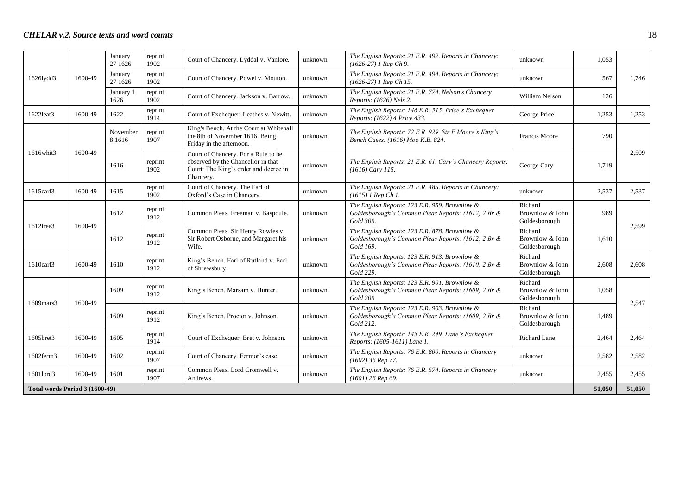|                                |         | January<br>27 1626    | reprint<br>1902 | Court of Chancery. Lyddal v. Vanlore.                                                                                           | unknown | The English Reports: 21 E.R. 492. Reports in Chancery:<br>$(1626-27)$ 1 Rep Ch 9.                                 | unknown                                     | 1.053  |        |
|--------------------------------|---------|-----------------------|-----------------|---------------------------------------------------------------------------------------------------------------------------------|---------|-------------------------------------------------------------------------------------------------------------------|---------------------------------------------|--------|--------|
| 1626lydd3                      | 1600-49 | January<br>27 1626    | reprint<br>1902 | Court of Chancery. Powel v. Mouton.                                                                                             | unknown | The English Reports: 21 E.R. 494. Reports in Chancery:<br>$(1626-27)$ 1 Rep Ch 15.                                | unknown                                     | 567    | 1,746  |
|                                |         | January 1<br>1626     | reprint<br>1902 | Court of Chancery. Jackson v. Barrow.                                                                                           | unknown | The English Reports: 21 E.R. 774. Nelson's Chancery<br>Reports: (1626) Nels 2.                                    | William Nelson                              | 126    |        |
| 1622leat3                      | 1600-49 | 1622                  | reprint<br>1914 | Court of Exchequer. Leathes v. Newitt.                                                                                          | unknown | The English Reports: 146 E.R. 515. Price's Exchequer<br>Reports: (1622) 4 Price 433.                              | George Price                                | 1,253  | 1.253  |
|                                |         | November<br>8 1 6 1 6 | reprint<br>1907 | King's Bench. At the Court at Whitehall<br>the 8th of November 1616. Being<br>Friday in the afternoon.                          | unknown | The English Reports: 72 E.R. 929. Sir F Moore's King's<br>Bench Cases: (1616) Moo K.B. 824.                       | Francis Moore                               | 790    |        |
| 1616whit3                      | 1600-49 | 1616                  | reprint<br>1902 | Court of Chancery. For a Rule to be<br>observed by the Chancellor in that<br>Court: The King's order and decree in<br>Chancery. | unknown | The English Reports: 21 E.R. 61. Cary's Chancery Reports:<br>$(1616)$ Cary 115.                                   | George Cary                                 | 1,719  | 2,509  |
| 1615earl3                      | 1600-49 | 1615                  | reprint<br>1902 | Court of Chancery. The Earl of<br>Oxford's Case in Chancery.                                                                    | unknown | The English Reports: 21 E.R. 485. Reports in Chancery:<br>$(1615)$ 1 Rep Ch 1.                                    | unknown                                     | 2,537  | 2,537  |
| 1612free3                      | 1600-49 | 1612                  | reprint<br>1912 | Common Pleas. Freeman v. Baspoule.                                                                                              | unknown | The English Reports: 123 E.R. 959. Brownlow &<br>Goldesborough's Common Pleas Reports: (1612) 2 Br &<br>Gold 309. | Richard<br>Brownlow & John<br>Goldesborough | 989    | 2,599  |
|                                |         | 1612                  | reprint<br>1912 | Common Pleas. Sir Henry Rowles v.<br>Sir Robert Osborne, and Margaret his<br>Wife.                                              | unknown | The English Reports: 123 E.R. 878. Brownlow &<br>Goldesborough's Common Pleas Reports: (1612) 2 Br &<br>Gold 169. | Richard<br>Brownlow & John<br>Goldesborough | 1.610  |        |
| 1610earl3                      | 1600-49 | 1610                  | reprint<br>1912 | King's Bench. Earl of Rutland v. Earl<br>of Shrewsbury.                                                                         | unknown | The English Reports: 123 E.R. 913. Brownlow &<br>Goldesborough's Common Pleas Reports: (1610) 2 Br &<br>Gold 229. | Richard<br>Brownlow & John<br>Goldesborough | 2,608  | 2.608  |
| $1609$ mars 3                  | 1600-49 | 1609                  | reprint<br>1912 | King's Bench. Marsam v. Hunter.                                                                                                 | unknown | The English Reports: 123 E.R. 901. Brownlow &<br>Goldesborough's Common Pleas Reports: (1609) 2 Br &<br>Gold 209  | Richard<br>Brownlow & John<br>Goldesborough | 1.058  | 2,547  |
|                                |         | 1609                  | reprint<br>1912 | King's Bench. Proctor v. Johnson.                                                                                               | unknown | The English Reports: 123 E.R. 903. Brownlow &<br>Goldesborough's Common Pleas Reports: (1609) 2 Br &<br>Gold 212. | Richard<br>Brownlow & John<br>Goldesborough | 1,489  |        |
| 1605bret3                      | 1600-49 | 1605                  | reprint<br>1914 | Court of Exchequer. Bret v. Johnson.                                                                                            | unknown | The English Reports: 145 E.R. 249. Lane's Exchequer<br>Reports: (1605-1611) Lane 1.                               | Richard Lane                                | 2,464  | 2,464  |
| 1602ferm3                      | 1600-49 | 1602                  | reprint<br>1907 | Court of Chancery. Fermor's case.                                                                                               | unknown | The English Reports: 76 E.R. 800. Reports in Chancery<br>$(1602)$ 36 Rep 77.                                      | unknown                                     | 2,582  | 2,582  |
| 1601lord3                      | 1600-49 | 1601                  | reprint<br>1907 | Common Pleas. Lord Cromwell v.<br>Andrews.                                                                                      | unknown | The English Reports: 76 E.R. 574. Reports in Chancery<br>$(1601)$ 26 Rep 69.                                      | unknown                                     | 2,455  | 2,455  |
| Total words Period 3 (1600-49) |         |                       |                 |                                                                                                                                 |         |                                                                                                                   |                                             | 51,050 | 51,050 |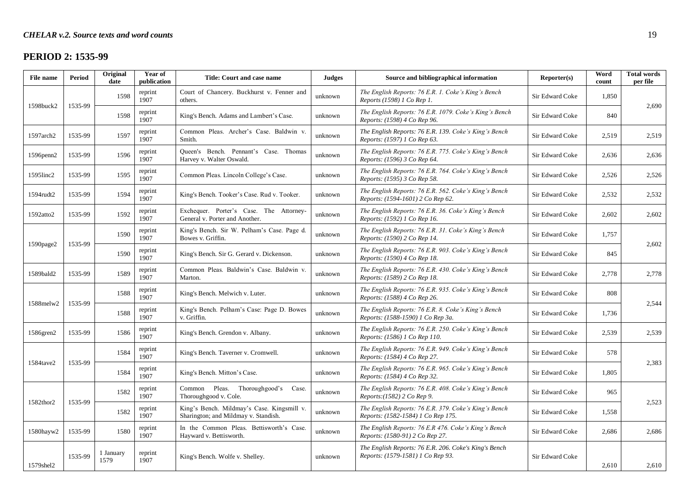# **PERIOD 2: 1535-99**

| <b>File name</b> | <b>Period</b> | Original<br>date  | Year of<br>publication | Title: Court and case name                                                         | <b>Judges</b> | Source and bibliographical information                                                      | Reporter(s)     | Word<br>count | <b>Total words</b><br>per file |
|------------------|---------------|-------------------|------------------------|------------------------------------------------------------------------------------|---------------|---------------------------------------------------------------------------------------------|-----------------|---------------|--------------------------------|
|                  |               | 1598              | reprint<br>1907        | Court of Chancery. Buckhurst v. Fenner and<br>others.                              | unknown       | The English Reports: 76 E.R. 1. Coke's King's Bench<br>Reports (1598) 1 Co Rep 1.           | Sir Edward Coke | 1,850         |                                |
| 1598buck2        | 1535-99       | 1598              | reprint<br>1907        | King's Bench. Adams and Lambert's Case.                                            | unknown       | The English Reports: 76 E.R. 1079. Coke's King's Bench<br>Reports: (1598) 4 Co Rep 96.      | Sir Edward Coke | 840           | 2,690                          |
| 1597arch2        | 1535-99       | 1597              | reprint<br>1907        | Common Pleas. Archer's Case. Baldwin v.<br>Smith.                                  | unknown       | The English Reports: 76 E.R. 139. Coke's King's Bench<br>Reports: (1597) 1 Co Rep 63.       | Sir Edward Coke | 2,519         | 2,519                          |
| $1596$ penn $2$  | 1535-99       | 1596              | reprint<br>1907        | Queen's Bench. Pennant's Case. Thomas<br>Harvey v. Walter Oswald.                  | unknown       | The English Reports: 76 E.R. 775. Coke's King's Bench<br>Reports: (1596) 3 Co Rep 64.       | Sir Edward Coke | 2,636         | 2,636                          |
| $1595$ linc $2$  | 1535-99       | 1595              | reprint<br>1907        | Common Pleas. Lincoln College's Case.                                              | unknown       | The English Reports: 76 E.R. 764. Coke's King's Bench<br>Reports: (1595) 3 Co Rep 58.       | Sir Edward Coke | 2,526         | 2,526                          |
| 1594rudt2        | 1535-99       | 1594              | reprint<br>1907        | King's Bench. Tooker's Case. Rud v. Tooker.                                        | unknown       | The English Reports: 76 E.R. 562. Coke's King's Bench<br>Reports: (1594-1601) 2 Co Rep 62.  | Sir Edward Coke | 2,532         | 2,532                          |
| 1592atto2        | 1535-99       | 1592              | reprint<br>1907        | Exchequer. Porter's Case. The Attorney-<br>General v. Porter and Another.          | unknown       | The English Reports: 76 E.R. 36. Coke's King's Bench<br>Reports: (1592) 1 Co Rep 16.        | Sir Edward Coke | 2,602         | 2,602                          |
|                  |               | 1590              | reprint<br>1907        | King's Bench. Sir W. Pelham's Case. Page d.<br>Bowes v. Griffin.                   | unknown       | The English Reports: 76 E.R. 31. Coke's King's Bench<br>Reports: (1590) 2 Co Rep 14.        | Sir Edward Coke | 1,757         |                                |
| 1590page2        | 1535-99       | 1590              | reprint<br>1907        | King's Bench. Sir G. Gerard v. Dickenson.                                          | unknown       | The English Reports: 76 E.R. 903. Coke's King's Bench<br>Reports: (1590) 4 Co Rep 18.       | Sir Edward Coke | 845           | 2,602                          |
| 1589bald2        | 1535-99       | 1589              | reprint<br>1907        | Common Pleas. Baldwin's Case. Baldwin v.<br>Marton.                                | unknown       | The English Reports: 76 E.R. 430. Coke's King's Bench<br>Reports: (1589) 2 Co Rep 18.       | Sir Edward Coke | 2,778         | 2,778                          |
|                  |               | 1588              | reprint<br>1907        | King's Bench. Melwich v. Luter.                                                    | unknown       | The English Reports: 76 E.R. 935. Coke's King's Bench<br>Reports: (1588) 4 Co Rep 26.       | Sir Edward Coke | 808           |                                |
| 1588melw2        | 1535-99       | 1588              | reprint<br>1907        | King's Bench. Pelham's Case: Page D. Bowes<br>v. Griffin.                          | unknown       | The English Reports: 76 E.R. 8. Coke's King's Bench<br>Reports: (1588-1590) 1 Co Rep 3a.    | Sir Edward Coke | 1,736         | 2,544                          |
| 1586gren2        | 1535-99       | 1586              | reprint<br>1907        | King's Bench. Grendon v. Albany.                                                   | unknown       | The English Reports: 76 E.R. 250. Coke's King's Bench<br>Reports: (1586) 1 Co Rep 110.      | Sir Edward Coke | 2,539         | 2,539                          |
|                  |               | 1584              | reprint<br>1907        | King's Bench. Taverner v. Cromwell.                                                | unknown       | The English Reports: 76 E.R. 949. Coke's King's Bench<br>Reports: (1584) 4 Co Rep 27.       | Sir Edward Coke | 578           |                                |
| 1584tave2        | 1535-99       | 1584              | reprint<br>1907        | King's Bench. Mitton's Case.                                                       | unknown       | The English Reports: 76 E.R. 965. Coke's King's Bench<br>Reports: (1584) 4 Co Rep 32.       | Sir Edward Coke | 1.805         | 2,383                          |
|                  |               | 1582              | reprint<br>1907        | Thoroughgood's<br>Common Pleas.<br>Case.<br>Thoroughgood v. Cole.                  | unknown       | The English Reports: 76 E.R. 408. Coke's King's Bench<br>Reports: (1582) 2 Co Rep 9.        | Sir Edward Coke | 965           |                                |
| 1582thor2        | 1535-99       | 1582              | reprint<br>1907        | King's Bench. Mildmay's Case. Kingsmill v.<br>Sharington; and Mildmay v. Standish. | unknown       | The English Reports: 76 E.R. 379. Coke's King's Bench<br>Reports: (1582-1584) 1 Co Rep 175. | Sir Edward Coke | 1,558         | 2,523                          |
| 1580hayw2        | 1535-99       | 1580              | reprint<br>1907        | In the Common Pleas. Bettisworth's Case.<br>Hayward v. Bettisworth.                | unknown       | The English Reports: 76 E.R 476. Coke's King's Bench<br>Reports: (1580-91) 2 Co Rep 27.     | Sir Edward Coke | 2,686         | 2,686                          |
| 1579shel2        | 1535-99       | 1 January<br>1579 | reprint<br>1907        | King's Bench. Wolfe v. Shelley.                                                    | unknown       | The English Reports: 76 E.R. 206. Coke's King's Bench<br>Reports: (1579-1581) 1 Co Rep 93.  | Sir Edward Coke | 2,610         | 2,610                          |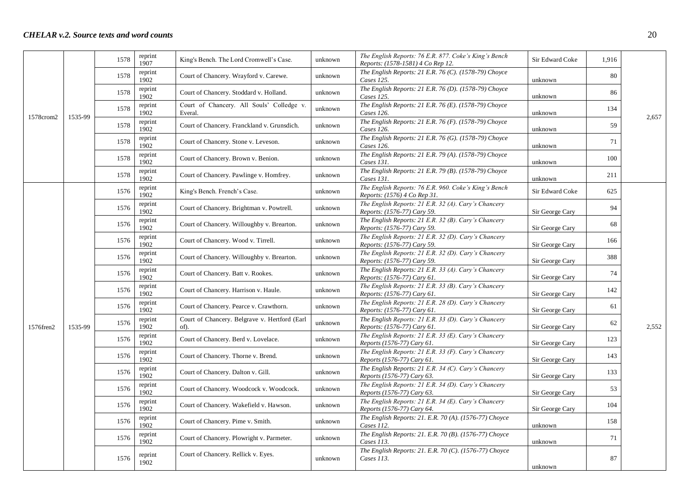|           |         | 1578 | reprint<br>1907 | King's Bench. The Lord Cromwell's Case.               | unknown | The English Reports: 76 E.R. 877. Coke's King's Bench<br>Reports: (1578-1581) 4 Co Rep 12. | Sir Edward Coke | 1,916 |       |
|-----------|---------|------|-----------------|-------------------------------------------------------|---------|--------------------------------------------------------------------------------------------|-----------------|-------|-------|
|           |         | 1578 | reprint<br>1902 | Court of Chancery. Wrayford v. Carewe.                | unknown | The English Reports: 21 E.R. 76 (C). (1578-79) Choyce<br>Cases 125.                        | unknown         | 80    |       |
|           |         | 1578 | reprint<br>1902 | Court of Chancery. Stoddard v. Holland.               | unknown | The English Reports: 21 E.R. 76 (D). (1578-79) Choyce<br>Cases 125.                        | unknown         | 86    |       |
|           |         | 1578 | reprint<br>1902 | Court of Chancery. All Souls' Colledge v.<br>Everal.  | unknown | The English Reports: 21 E.R. 76 (E). (1578-79) Choyce<br>Cases 126.                        | unknown         | 134   |       |
| 1578crom2 | 1535-99 | 1578 | reprint<br>1902 | Court of Chancery. Franckland v. Grunsdich.           | unknown | The English Reports: 21 E.R. 76 (F). (1578-79) Choyce<br>Cases 126.                        | unknown         | 59    | 2.657 |
|           |         | 1578 | reprint<br>1902 | Court of Chancery. Stone v. Leveson.                  | unknown | The English Reports: 21 E.R. 76 (G). (1578-79) Choyce<br>Cases 126.                        | unknown         | 71    |       |
|           |         | 1578 | reprint<br>1902 | Court of Chancery. Brown v. Benion.                   | unknown | The English Reports: 21 E.R. 79 (A). (1578-79) Choyce<br>Cases 131.                        | unknown         | 100   |       |
|           |         | 1578 | reprint<br>1902 | Court of Chancery. Pawlinge v. Homfrey.               | unknown | The English Reports: 21 E.R. 79 (B). (1578-79) Choyce<br>Cases 131.                        | unknown         | 211   |       |
|           |         | 1576 | reprint<br>1902 | King's Bench. French's Case.                          | unknown | The English Reports: 76 E.R. 960. Coke's King's Bench<br>Reports: (1576) 4 Co Rep 31.      | Sir Edward Coke | 625   |       |
|           |         | 1576 | reprint<br>1902 | Court of Chancery. Brightman v. Powtrell.             | unknown | The English Reports: 21 E.R. 32 (A). Cary's Chancery<br>Reports: (1576-77) Cary 59.        | Sir George Cary | 94    |       |
|           |         | 1576 | reprint<br>1902 | Court of Chancery. Willoughby v. Brearton.            | unknown | The English Reports: 21 E.R. 32 (B). Cary's Chancery<br>Reports: (1576-77) Cary 59.        | Sir George Cary | 68    |       |
|           |         | 1576 | reprint<br>1902 | Court of Chancery. Wood v. Tirrell.                   | unknown | The English Reports: 21 E.R. 32 (D). Cary's Chancery<br>Reports: (1576-77) Cary 59.        | Sir George Cary | 166   |       |
|           |         | 1576 | reprint<br>1902 | Court of Chancery. Willoughby v. Brearton.            | unknown | The English Reports: 21 E.R. 32 (D). Cary's Chancery<br>Reports: (1576-77) Cary 59.        | Sir George Cary | 388   |       |
|           |         | 1576 | reprint<br>1902 | Court of Chancery. Batt v. Rookes.                    | unknown | The English Reports: 21 E.R. 33 (A). Cary's Chancery<br>Reports: (1576-77) Cary 61.        | Sir George Cary | 74    |       |
|           |         | 1576 | reprint<br>1902 | Court of Chancery. Harrison v. Haule.                 | unknown | The English Reports: 21 E.R. 33 (B). Cary's Chancery<br>Reports: (1576-77) Cary 61.        | Sir George Cary | 142   |       |
|           |         | 1576 | reprint<br>1902 | Court of Chancery. Pearce v. Crawthorn.               | unknown | The English Reports: 21 E.R. 28 (D). Cary's Chancery<br>Reports: (1576-77) Cary 61.        | Sir George Cary | 61    |       |
| 1576fren2 | 1535-99 | 1576 | reprint<br>1902 | Court of Chancery. Belgrave v. Hertford (Earl<br>of). | unknown | The English Reports: 21 E.R. 33 (D). Cary's Chancery<br>Reports: (1576-77) Cary 61.        | Sir George Cary | 62    | 2,552 |
|           |         | 1576 | reprint<br>1902 | Court of Chancery. Berd v. Lovelace.                  | unknown | The English Reports: 21 E.R. 33 (E). Cary's Chancery<br>Reports (1576-77) Cary 61.         | Sir George Cary | 123   |       |
|           |         | 1576 | reprint<br>1902 | Court of Chancery. Thorne v. Brend.                   | unknown | The English Reports: 21 E.R. 33 (F). Cary's Chancery<br>Reports (1576-77) Cary 61.         | Sir George Cary | 143   |       |
|           |         | 1576 | reprint<br>1902 | Court of Chancery. Dalton v. Gill.                    | unknown | The English Reports: 21 E.R. 34 (C). Cary's Chancery<br>Reports (1576-77) Cary 63.         | Sir George Cary | 133   |       |
|           |         | 1576 | reprint<br>1902 | Court of Chancery. Woodcock v. Woodcock.              | unknown | The English Reports: 21 E.R. 34 (D). Cary's Chancery<br>Reports (1576-77) Cary 63.         | Sir George Cary | 53    |       |
|           |         | 1576 | reprint<br>1902 | Court of Chancery. Wakefield v. Hawson.               | unknown | The English Reports: 21 E.R. 34 (E). Cary's Chancery<br>Reports (1576-77) Cary 64.         | Sir George Cary | 104   |       |
|           |         | 1576 | reprint<br>1902 | Court of Chancery. Pime v. Smith.                     | unknown | The English Reports: 21. E.R. 70 (A). (1576-77) Choyce<br>Cases 112.                       | unknown         | 158   |       |
|           |         | 1576 | reprint<br>1902 | Court of Chancery. Plowright v. Parmeter.             | unknown | The English Reports: 21. E.R. 70 (B). (1576-77) Choyce<br>Cases 113.                       | unknown         | 71    |       |
|           |         | 1576 | reprint<br>1902 | Court of Chancery. Rellick v. Eyes.                   | unknown | The English Reports: 21. E.R. 70 (C). (1576-77) Choyce<br>Cases 113.                       | unknown         | 87    |       |
|           |         |      |                 |                                                       |         |                                                                                            |                 |       |       |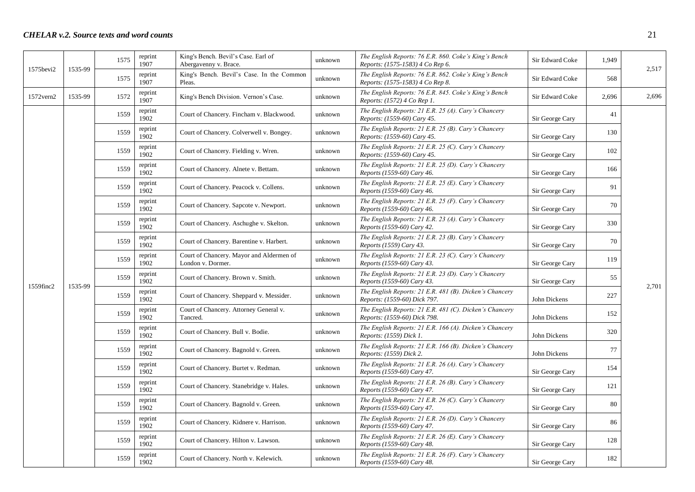|            |         | 1575 | reprint<br>1907 | King's Bench. Bevil's Case. Earl of<br>Abergavenny v. Brace.  | unknown | The English Reports: 76 E.R. 860. Coke's King's Bench<br>Reports: (1575-1583) 4 Co Rep 6. | Sir Edward Coke | 1,949 |       |
|------------|---------|------|-----------------|---------------------------------------------------------------|---------|-------------------------------------------------------------------------------------------|-----------------|-------|-------|
| 1575bevi2  | 1535-99 | 1575 | reprint<br>1907 | King's Bench. Bevil's Case. In the Common<br>Pleas.           | unknown | The English Reports: 76 E.R. 862. Coke's King's Bench<br>Reports: (1575-1583) 4 Co Rep 8. | Sir Edward Coke | 568   | 2,517 |
| 1572 vern2 | 1535-99 | 1572 | reprint<br>1907 | King's Bench Division. Vernon's Case.                         | unknown | The English Reports: 76 E.R. 845. Coke's King's Bench<br>Reports: (1572) 4 Co Rep 1.      | Sir Edward Coke | 2,696 | 2,696 |
|            |         | 1559 | reprint<br>1902 | Court of Chancery. Fincham v. Blackwood.                      | unknown | The English Reports: 21 E.R. 25 (A). Cary's Chancery<br>Reports: (1559-60) Cary 45.       | Sir George Cary | 41    |       |
|            |         | 1559 | reprint<br>1902 | Court of Chancery. Colverwell v. Bongey.                      | unknown | The English Reports: $21$ E.R. $25$ (B). Cary's Chancery<br>Reports: (1559-60) Cary 45.   | Sir George Cary | 130   |       |
|            |         | 1559 | reprint<br>1902 | Court of Chancery. Fielding v. Wren.                          | unknown | The English Reports: 21 E.R. 25 (C). Cary's Chancery<br>Reports: (1559-60) Cary 45.       | Sir George Cary | 102   |       |
|            |         | 1559 | reprint<br>1902 | Court of Chancery. Alnete v. Bettam.                          | unknown | The English Reports: 21 E.R. 25 (D). Cary's Chancery<br>Reports (1559-60) Cary 46.        | Sir George Cary | 166   |       |
|            |         | 1559 | reprint<br>1902 | Court of Chancery. Peacock v. Collens.                        | unknown | The English Reports: 21 E.R. 25 (E). Cary's Chancery<br>Reports (1559-60) Cary 46.        | Sir George Cary | 91    |       |
|            |         | 1559 | reprint<br>1902 | Court of Chancery. Sapcote v. Newport.                        | unknown | The English Reports: 21 E.R. 25 (F). Cary's Chancery<br>Reports (1559-60) Cary 46.        | Sir George Cary | 70    |       |
|            |         | 1559 | reprint<br>1902 | Court of Chancery. Aschughe v. Skelton.                       | unknown | The English Reports: 21 E.R. 23 (A). Cary's Chancery<br>Reports (1559-60) Cary 42.        | Sir George Cary | 330   |       |
|            |         | 1559 | reprint<br>1902 | Court of Chancery. Barentine v. Harbert.                      | unknown | The English Reports: 21 E.R. 23 (B). Cary's Chancery<br>Reports (1559) Cary 43.           | Sir George Cary | 70    |       |
|            |         | 1559 | reprint<br>1902 | Court of Chancery. Mayor and Aldermen of<br>London v. Dormer. | unknown | The English Reports: 21 E.R. 23 (C). Cary's Chancery<br>Reports (1559-60) Cary 43.        | Sir George Cary | 119   |       |
|            |         | 1559 | reprint<br>1902 | Court of Chancery. Brown v. Smith.                            | unknown | The English Reports: 21 E.R. 23 (D). Cary's Chancery<br>Reports (1559-60) Cary 43.        | Sir George Cary | 55    | 2,701 |
| 1559finc2  | 1535-99 | 1559 | reprint<br>1902 | Court of Chancery. Sheppard v. Messider.                      | unknown | The English Reports: 21 E.R. 481 (B). Dicken's Chancery<br>Reports: (1559-60) Dick 797.   | John Dickens    | 227   |       |
|            |         | 1559 | reprint<br>1902 | Court of Chancery. Attorney General v.<br>Tancred.            | unknown | The English Reports: 21 E.R. 481 (C). Dicken's Chancery<br>Reports: (1559-60) Dick 798.   | John Dickens    | 152   |       |
|            |         | 1559 | reprint<br>1902 | Court of Chancery. Bull v. Bodie.                             | unknown | The English Reports: 21 E.R. 166 (A). Dicken's Chancery<br>Reports: (1559) Dick 1.        | John Dickens    | 320   |       |
|            |         | 1559 | reprint<br>1902 | Court of Chancery. Bagnold v. Green.                          | unknown | The English Reports: 21 E.R. 166 (B). Dicken's Chancery<br>Reports: (1559) Dick 2.        | John Dickens    | 77    |       |
|            |         | 1559 | reprint<br>1902 | Court of Chancery. Burtet v. Redman.                          | unknown | The English Reports: 21 E.R. 26 (A). Cary's Chancery<br>Reports (1559-60) Cary 47.        | Sir George Cary | 154   |       |
|            |         | 1559 | reprint<br>1902 | Court of Chancery. Stanebridge v. Hales.                      | unknown | The English Reports: 21 E.R. 26 (B). Cary's Chancery<br>Reports (1559-60) Cary 47.        | Sir George Cary | 121   |       |
|            |         | 1559 | reprint<br>1902 | Court of Chancery. Bagnold v. Green.                          | unknown | The English Reports: 21 E.R. 26 (C). Cary's Chancery<br>Reports (1559-60) Cary 47.        | Sir George Cary | 80    |       |
|            |         | 1559 | reprint<br>1902 | Court of Chancery. Kidnere v. Harrison.                       | unknown | The English Reports: 21 E.R. 26 (D). Cary's Chancery<br>Reports (1559-60) Cary 47.        | Sir George Cary | 86    |       |
|            |         | 1559 | reprint<br>1902 | Court of Chancery. Hilton v. Lawson.                          | unknown | The English Reports: 21 E.R. 26 (E). Cary's Chancery<br>Reports (1559-60) Cary 48.        | Sir George Cary | 128   |       |
|            |         | 1559 | reprint<br>1902 | Court of Chancery. North v. Kelewich.                         | unknown | The English Reports: 21 E.R. 26 (F). Cary's Chancery<br>Reports (1559-60) Cary 48.        | Sir George Cary | 182   |       |